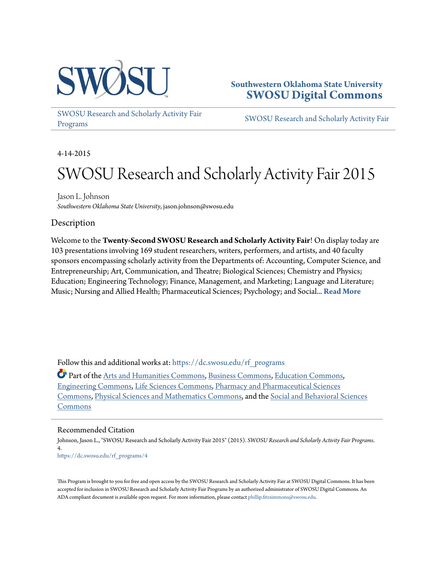

# **Southwestern Oklahoma State University [SWOSU Digital Commons](https://dc.swosu.edu/?utm_source=dc.swosu.edu%2Frf_programs%2F4&utm_medium=PDF&utm_campaign=PDFCoverPages)**

[SWOSU Research and Scholarly Activity Fair](https://dc.swosu.edu/rf_programs?utm_source=dc.swosu.edu%2Frf_programs%2F4&utm_medium=PDF&utm_campaign=PDFCoverPages) [Programs](https://dc.swosu.edu/rf_programs?utm_source=dc.swosu.edu%2Frf_programs%2F4&utm_medium=PDF&utm_campaign=PDFCoverPages)

[SWOSU Research and Scholarly Activity Fair](https://dc.swosu.edu/rf?utm_source=dc.swosu.edu%2Frf_programs%2F4&utm_medium=PDF&utm_campaign=PDFCoverPages)

4-14-2015

# SWOSU Research and Scholarly Activity Fair 2015

Jason L. Johnson *Southwestern Oklahoma State University*, jason.johnson@swosu.edu

## **Description**

Welcome to the **Twenty-Second SWOSU Research and Scholarly Activity Fair**! On display today are 103 presentations involving 169 student researchers, writers, performers, and artists, and 40 faculty sponsors encompassing scholarly activity from the Departments of: Accounting, Computer Science, and Entrepreneurship; Art, Communication, and Theatre; Biological Sciences; Chemistry and Physics; Education; Engineering Technology; Finance, Management, and Marketing; Language and Literature; Music; Nursing and Allied Health; Pharmaceutical Sciences; Psychology; and Social... **[Read More](https://dc.swosu.edu/rf_programs/4)**

Follow this and additional works at: [https://dc.swosu.edu/rf\\_programs](https://dc.swosu.edu/rf_programs?utm_source=dc.swosu.edu%2Frf_programs%2F4&utm_medium=PDF&utm_campaign=PDFCoverPages)

Part of the [Arts and Humanities Commons](http://network.bepress.com/hgg/discipline/438?utm_source=dc.swosu.edu%2Frf_programs%2F4&utm_medium=PDF&utm_campaign=PDFCoverPages), [Business Commons,](http://network.bepress.com/hgg/discipline/622?utm_source=dc.swosu.edu%2Frf_programs%2F4&utm_medium=PDF&utm_campaign=PDFCoverPages) [Education Commons,](http://network.bepress.com/hgg/discipline/784?utm_source=dc.swosu.edu%2Frf_programs%2F4&utm_medium=PDF&utm_campaign=PDFCoverPages) [Engineering Commons,](http://network.bepress.com/hgg/discipline/217?utm_source=dc.swosu.edu%2Frf_programs%2F4&utm_medium=PDF&utm_campaign=PDFCoverPages) [Life Sciences Commons](http://network.bepress.com/hgg/discipline/1016?utm_source=dc.swosu.edu%2Frf_programs%2F4&utm_medium=PDF&utm_campaign=PDFCoverPages), [Pharmacy and Pharmaceutical Sciences](http://network.bepress.com/hgg/discipline/731?utm_source=dc.swosu.edu%2Frf_programs%2F4&utm_medium=PDF&utm_campaign=PDFCoverPages) [Commons,](http://network.bepress.com/hgg/discipline/731?utm_source=dc.swosu.edu%2Frf_programs%2F4&utm_medium=PDF&utm_campaign=PDFCoverPages) [Physical Sciences and Mathematics Commons](http://network.bepress.com/hgg/discipline/114?utm_source=dc.swosu.edu%2Frf_programs%2F4&utm_medium=PDF&utm_campaign=PDFCoverPages), and the [Social and Behavioral Sciences](http://network.bepress.com/hgg/discipline/316?utm_source=dc.swosu.edu%2Frf_programs%2F4&utm_medium=PDF&utm_campaign=PDFCoverPages) [Commons](http://network.bepress.com/hgg/discipline/316?utm_source=dc.swosu.edu%2Frf_programs%2F4&utm_medium=PDF&utm_campaign=PDFCoverPages)

#### Recommended Citation

Johnson, Jason L., "SWOSU Research and Scholarly Activity Fair 2015" (2015). *SWOSU Research and Scholarly Activity Fair Programs*. 4. [https://dc.swosu.edu/rf\\_programs/4](https://dc.swosu.edu/rf_programs/4?utm_source=dc.swosu.edu%2Frf_programs%2F4&utm_medium=PDF&utm_campaign=PDFCoverPages)

This Program is brought to you for free and open access by the SWOSU Research and Scholarly Activity Fair at SWOSU Digital Commons. It has been accepted for inclusion in SWOSU Research and Scholarly Activity Fair Programs by an authorized administrator of SWOSU Digital Commons. An ADA compliant document is available upon request. For more information, please contact [phillip.fitzsimmons@swosu.edu](mailto:phillip.fitzsimmons@swosu.edu).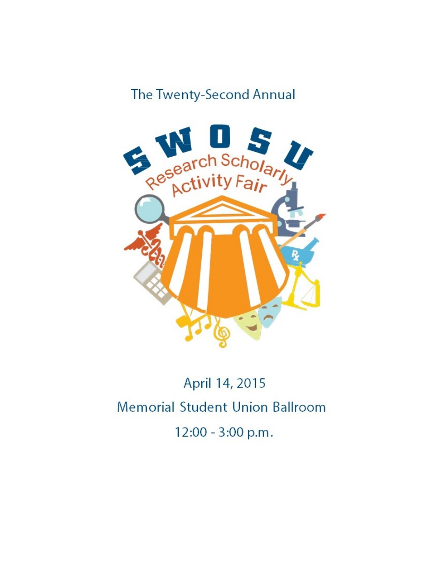# The Twenty-Second Annual



# April 14, 2015 Memorial Student Union Ballroom 12:00 - 3:00 p.m.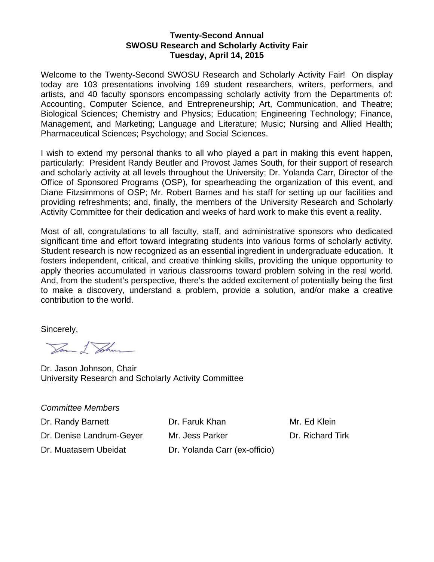### **Twenty-Second Annual SWOSU Research and Scholarly Activity Fair Tuesday, April 14, 2015**

Welcome to the Twenty-Second SWOSU Research and Scholarly Activity Fair! On display today are 103 presentations involving 169 student researchers, writers, performers, and artists, and 40 faculty sponsors encompassing scholarly activity from the Departments of: Accounting, Computer Science, and Entrepreneurship; Art, Communication, and Theatre; Biological Sciences; Chemistry and Physics; Education; Engineering Technology; Finance, Management, and Marketing; Language and Literature; Music; Nursing and Allied Health; Pharmaceutical Sciences; Psychology; and Social Sciences.

I wish to extend my personal thanks to all who played a part in making this event happen, particularly: President Randy Beutler and Provost James South, for their support of research and scholarly activity at all levels throughout the University; Dr. Yolanda Carr, Director of the Office of Sponsored Programs (OSP), for spearheading the organization of this event, and Diane Fitzsimmons of OSP; Mr. Robert Barnes and his staff for setting up our facilities and providing refreshments; and, finally, the members of the University Research and Scholarly Activity Committee for their dedication and weeks of hard work to make this event a reality.

Most of all, congratulations to all faculty, staff, and administrative sponsors who dedicated significant time and effort toward integrating students into various forms of scholarly activity. Student research is now recognized as an essential ingredient in undergraduate education. It fosters independent, critical, and creative thinking skills, providing the unique opportunity to apply theories accumulated in various classrooms toward problem solving in the real world. And, from the student's perspective, there's the added excitement of potentially being the first to make a discovery, understand a problem, provide a solution, and/or make a creative contribution to the world.

Sincerely,

Jam I Johns

Dr. Jason Johnson, Chair University Research and Scholarly Activity Committee

*Committee Members*

Dr. Randy Barnett **Dr. Faruk Khan** Mr. Ed Klein

Dr. Denise Landrum-Gever Mr. Jess Parker Dr. Richard Tirk

Dr. Muatasem Ubeidat Dr. Yolanda Carr (ex-officio)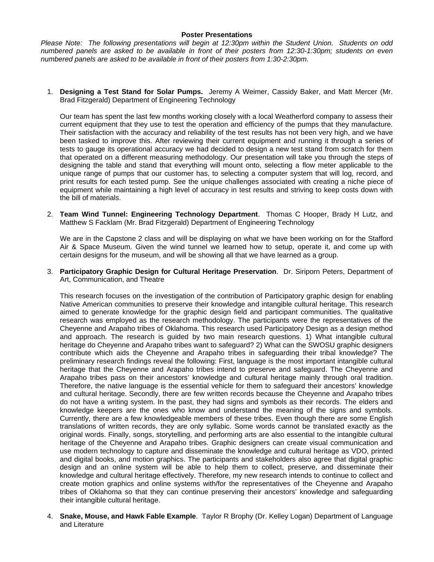#### **Poster Presentations**

*Please Note: The following presentations will begin at 12:30pm within the Student Union. Students on odd numbered panels are asked to be available in front of their posters from 12:30-1:30pm; students on even numbered panels are asked to be available in front of their posters from 1:30-2:30pm.* 

1. **Designing a Test Stand for Solar Pumps.** Jeremy A Weimer, Cassidy Baker, and Matt Mercer (Mr. Brad Fitzgerald) Department of Engineering Technology

Our team has spent the last few months working closely with a local Weatherford company to assess their current equipment that they use to test the operation and efficiency of the pumps that they manufacture. Their satisfaction with the accuracy and reliability of the test results has not been very high, and we have been tasked to improve this. After reviewing their current equipment and running it through a series of tests to gauge its operational accuracy we had decided to design a new test stand from scratch for them that operated on a different measuring methodology. Our presentation will take you through the steps of designing the table and stand that everything will mount onto, selecting a flow meter applicable to the unique range of pumps that our customer has, to selecting a computer system that will log, record, and print results for each tested pump. See the unique challenges associated with creating a niche piece of equipment while maintaining a high level of accuracy in test results and striving to keep costs down with the bill of materials.

2. **Team Wind Tunnel: Engineering Technology Department**. Thomas C Hooper, Brady H Lutz, and Matthew S Facklam (Mr. Brad Fitzgerald) Department of Engineering Technology

We are in the Capstone 2 class and will be displaying on what we have been working on for the Stafford Air & Space Museum. Given the wind tunnel we learned how to setup, operate it, and come up with certain designs for the museum, and will be showing all that we have learned as a group.

3. **Participatory Graphic Design for Cultural Heritage Preservation**. Dr. Siriporn Peters, Department of Art, Communication, and Theatre

This research focuses on the investigation of the contribution of Participatory graphic design for enabling Native American communities to preserve their knowledge and intangible cultural heritage. This research aimed to generate knowledge for the graphic design field and participant communities. The qualitative research was employed as the research methodology. The participants were the representatives of the Cheyenne and Arapaho tribes of Oklahoma. This research used Participatory Design as a design method and approach. The research is guided by two main research questions. 1) What intangible cultural heritage do Cheyenne and Arapaho tribes want to safeguard? 2) What can the SWOSU graphic designers contribute which aids the Cheyenne and Arapaho tribes in safeguarding their tribal knowledge? The preliminary research findings reveal the following: First, language is the most important intangible cultural heritage that the Cheyenne and Arapaho tribes intend to preserve and safeguard. The Cheyenne and Arapaho tribes pass on their ancestors' knowledge and cultural heritage mainly through oral tradition. Therefore, the native language is the essential vehicle for them to safeguard their ancestors' knowledge and cultural heritage. Secondly, there are few written records because the Cheyenne and Arapaho tribes do not have a writing system. In the past, they had signs and symbols as their records. The elders and knowledge keepers are the ones who know and understand the meaning of the signs and symbols. Currently, there are a few knowledgeable members of these tribes. Even though there are some English translations of written records, they are only syllabic. Some words cannot be translated exactly as the original words. Finally, songs, storytelling, and performing arts are also essential to the intangible cultural heritage of the Cheyenne and Arapaho tribes. Graphic designers can create visual communication and use modern technology to capture and disseminate the knowledge and cultural heritage as VDO, printed and digital books, and motion graphics. The participants and stakeholders also agree that digital graphic design and an online system will be able to help them to collect, preserve, and disseminate their knowledge and cultural heritage effectively. Therefore, my new research intends to continue to collect and create motion graphics and online systems with/for the representatives of the Cheyenne and Arapaho tribes of Oklahoma so that they can continue preserving their ancestors' knowledge and safeguarding their intangible cultural heritage.

4. **Snake, Mouse, and Hawk Fable Example**. Taylor R Brophy (Dr. Kelley Logan) Department of Language and Literature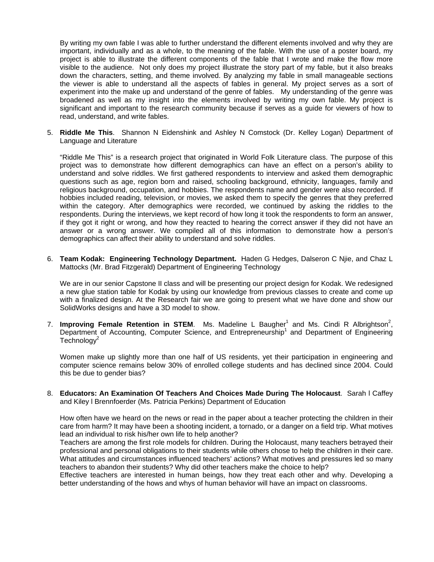By writing my own fable I was able to further understand the different elements involved and why they are important, individually and as a whole, to the meaning of the fable. With the use of a poster board, my project is able to illustrate the different components of the fable that I wrote and make the flow more visible to the audience. Not only does my project illustrate the story part of my fable, but it also breaks down the characters, setting, and theme involved. By analyzing my fable in small manageable sections the viewer is able to understand all the aspects of fables in general. My project serves as a sort of experiment into the make up and understand of the genre of fables. My understanding of the genre was broadened as well as my insight into the elements involved by writing my own fable. My project is significant and important to the research community because if serves as a guide for viewers of how to read, understand, and write fables.

5. **Riddle Me This**. Shannon N Eidenshink and Ashley N Comstock (Dr. Kelley Logan) Department of Language and Literature

"Riddle Me This" is a research project that originated in World Folk Literature class. The purpose of this project was to demonstrate how different demographics can have an effect on a person's ability to understand and solve riddles. We first gathered respondents to interview and asked them demographic questions such as age, region born and raised, schooling background, ethnicity, languages, family and religious background, occupation, and hobbies. The respondents name and gender were also recorded. If hobbies included reading, television, or movies, we asked them to specify the genres that they preferred within the category. After demographics were recorded, we continued by asking the riddles to the respondents. During the interviews, we kept record of how long it took the respondents to form an answer, if they got it right or wrong, and how they reacted to hearing the correct answer if they did not have an answer or a wrong answer. We compiled all of this information to demonstrate how a person's demographics can affect their ability to understand and solve riddles.

6. **Team Kodak: Engineering Technology Department.** Haden G Hedges, Dalseron C Njie, and Chaz L Mattocks (Mr. Brad Fitzgerald) Department of Engineering Technology

We are in our senior Capstone II class and will be presenting our project design for Kodak. We redesigned a new glue station table for Kodak by using our knowledge from previous classes to create and come up with a finalized design. At the Research fair we are going to present what we have done and show our SolidWorks designs and have a 3D model to show.

7. **Improving Female Retention in STEM**. Ms. Madeline L Baugher<sup>1</sup> and Ms. Cindi R Albrightson<sup>2</sup>, Department of Accounting, Computer Science, and Entrepreneurship<sup>1</sup> and Department of Engineering  $Technoloqv<sup>2</sup>$ 

Women make up slightly more than one half of US residents, yet their participation in engineering and computer science remains below 30% of enrolled college students and has declined since 2004. Could this be due to gender bias?

8. **Educators: An Examination Of Teachers And Choices Made During The Holocaust**. Sarah l Caffey and Kiley l Brennfoerder (Ms. Patricia Perkins) Department of Education

How often have we heard on the news or read in the paper about a teacher protecting the children in their care from harm? It may have been a shooting incident, a tornado, or a danger on a field trip. What motives lead an individual to risk his/her own life to help another?

Teachers are among the first role models for children. During the Holocaust, many teachers betrayed their professional and personal obligations to their students while others chose to help the children in their care. What attitudes and circumstances influenced teachers' actions? What motives and pressures led so many teachers to abandon their students? Why did other teachers make the choice to help?

Effective teachers are interested in human beings, how they treat each other and why. Developing a better understanding of the hows and whys of human behavior will have an impact on classrooms.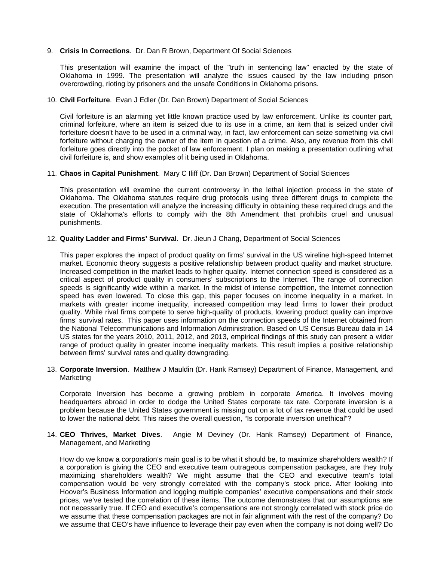#### 9. **Crisis In Corrections**. Dr. Dan R Brown, Department Of Social Sciences

This presentation will examine the impact of the "truth in sentencing law" enacted by the state of Oklahoma in 1999. The presentation will analyze the issues caused by the law including prison overcrowding, rioting by prisoners and the unsafe Conditions in Oklahoma prisons.

#### 10. **Civil Forfeiture**. Evan J Edler (Dr. Dan Brown) Department of Social Sciences

Civil forfeiture is an alarming yet little known practice used by law enforcement. Unlike its counter part, criminal forfeiture, where an item is seized due to its use in a crime, an item that is seized under civil forfeiture doesn't have to be used in a criminal way, in fact, law enforcement can seize something via civil forfeiture without charging the owner of the item in question of a crime. Also, any revenue from this civil forfeiture goes directly into the pocket of law enforcement. I plan on making a presentation outlining what civil forfeiture is, and show examples of it being used in Oklahoma.

#### 11. **Chaos in Capital Punishment**. Mary C Iliff (Dr. Dan Brown) Department of Social Sciences

This presentation will examine the current controversy in the lethal injection process in the state of Oklahoma. The Oklahoma statutes require drug protocols using three different drugs to complete the execution. The presentation will analyze the increasing difficulty in obtaining these required drugs and the state of Oklahoma's efforts to comply with the 8th Amendment that prohibits cruel and unusual punishments.

#### 12. **Quality Ladder and Firms' Survival**. Dr. Jieun J Chang, Department of Social Sciences

This paper explores the impact of product quality on firms' survival in the US wireline high-speed Internet market. Economic theory suggests a positive relationship between product quality and market structure. Increased competition in the market leads to higher quality. Internet connection speed is considered as a critical aspect of product quality in consumers' subscriptions to the Internet. The range of connection speeds is significantly wide within a market. In the midst of intense competition, the Internet connection speed has even lowered. To close this gap, this paper focuses on income inequality in a market. In markets with greater income inequality, increased competition may lead firms to lower their product quality. While rival firms compete to serve high-quality of products, lowering product quality can improve firms' survival rates. This paper uses information on the connection speeds of the Internet obtained from the National Telecommunications and Information Administration. Based on US Census Bureau data in 14 US states for the years 2010, 2011, 2012, and 2013, empirical findings of this study can present a wider range of product quality in greater income inequality markets. This result implies a positive relationship between firms' survival rates and quality downgrading.

13. **Corporate Inversion**. Matthew J Mauldin (Dr. Hank Ramsey) Department of Finance, Management, and Marketing

Corporate Inversion has become a growing problem in corporate America. It involves moving headquarters abroad in order to dodge the United States corporate tax rate. Corporate inversion is a problem because the United States government is missing out on a lot of tax revenue that could be used to lower the national debt. This raises the overall question, "Is corporate inversion unethical"?

#### 14. **CEO Thrives, Market Dives**. Angie M Deviney (Dr. Hank Ramsey) Department of Finance, Management, and Marketing

How do we know a corporation's main goal is to be what it should be, to maximize shareholders wealth? If a corporation is giving the CEO and executive team outrageous compensation packages, are they truly maximizing shareholders wealth? We might assume that the CEO and executive team's total compensation would be very strongly correlated with the company's stock price. After looking into Hoover's Business Information and logging multiple companies' executive compensations and their stock prices, we've tested the correlation of these items. The outcome demonstrates that our assumptions are not necessarily true. If CEO and executive's compensations are not strongly correlated with stock price do we assume that these compensation packages are not in fair alignment with the rest of the company? Do we assume that CEO's have influence to leverage their pay even when the company is not doing well? Do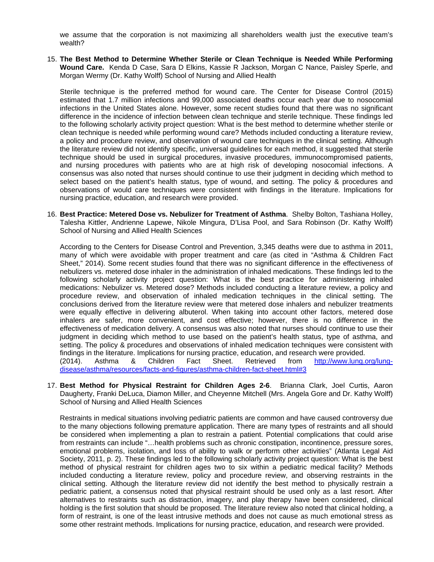we assume that the corporation is not maximizing all shareholders wealth just the executive team's wealth?

15. **The Best Method to Determine Whether Sterile or Clean Technique is Needed While Performing Wound Care.** Kenda D Case, Sara D Elkins, Kassie R Jackson, Morgan C Nance, Paisley Sperle, and Morgan Wermy (Dr. Kathy Wolff) School of Nursing and Allied Health

Sterile technique is the preferred method for wound care. The Center for Disease Control (2015) estimated that 1.7 million infections and 99,000 associated deaths occur each year due to nosocomial infections in the United States alone. However, some recent studies found that there was no significant difference in the incidence of infection between clean technique and sterile technique. These findings led to the following scholarly activity project question: What is the best method to determine whether sterile or clean technique is needed while performing wound care? Methods included conducting a literature review, a policy and procedure review, and observation of wound care techniques in the clinical setting. Although the literature review did not identify specific, universal guidelines for each method, it suggested that sterile technique should be used in surgical procedures, invasive procedures, immunocompromised patients, and nursing procedures with patients who are at high risk of developing nosocomial infections. A consensus was also noted that nurses should continue to use their judgment in deciding which method to select based on the patient's health status, type of wound, and setting. The policy & procedures and observations of would care techniques were consistent with findings in the literature. Implications for nursing practice, education, and research were provided.

16. **Best Practice: Metered Dose vs. Nebulizer for Treatment of Asthma**. Shelby Bolton, Tashiana Holley, Talesha Kittler, Andrienne Lapewe, Nikole Mingura, D'Lisa Pool, and Sara Robinson (Dr. Kathy Wolff) School of Nursing and Allied Health Sciences

According to the Centers for Disease Control and Prevention, 3,345 deaths were due to asthma in 2011, many of which were avoidable with proper treatment and care (as cited in "Asthma & Children Fact Sheet," 2014). Some recent studies found that there was no significant difference in the effectiveness of nebulizers vs. metered dose inhaler in the administration of inhaled medications. These findings led to the following scholarly activity project question: What is the best practice for administering inhaled medications: Nebulizer vs. Metered dose? Methods included conducting a literature review, a policy and procedure review, and observation of inhaled medication techniques in the clinical setting. The conclusions derived from the literature review were that metered dose inhalers and nebulizer treatments were equally effective in delivering albuterol. When taking into account other factors, metered dose inhalers are safer, more convenient, and cost effective; however, there is no difference in the effectiveness of medication delivery. A consensus was also noted that nurses should continue to use their judgment in deciding which method to use based on the patient's health status, type of asthma, and setting. The policy & procedures and observations of inhaled medication techniques were consistent with findings in the literature. Implications for nursing practice, education, and research were provided.<br>(2014). Asthma & Children Fact Sheet. Retrieved from http://www.lung.c (2014). Asthma & Children Fact Sheet. Retrieved from [http://www.lung.org/lung](http://www.lung.org/lung-disease/asthma/resources/facts-and-figures/asthma-children-fact-sheet.html%233)[disease/asthma/resources/facts-and-figures/asthma-children-fact-sheet.html#3](http://www.lung.org/lung-disease/asthma/resources/facts-and-figures/asthma-children-fact-sheet.html%233)

17. **Best Method for Physical Restraint for Children Ages 2-6**. Brianna Clark, Joel Curtis, Aaron Daugherty, Franki DeLuca, Diamon Miller, and Cheyenne Mitchell (Mrs. Angela Gore and Dr. Kathy Wolff) School of Nursing and Allied Health Sciences

Restraints in medical situations involving pediatric patients are common and have caused controversy due to the many objections following premature application. There are many types of restraints and all should be considered when implementing a plan to restrain a patient. Potential complications that could arise from restraints can include "…health problems such as chronic constipation, incontinence, pressure sores, emotional problems, isolation, and loss of ability to walk or perform other activities" (Atlanta Legal Aid Society, 2011, p. 2). These findings led to the following scholarly activity project question: What is the best method of physical restraint for children ages two to six within a pediatric medical facility? Methods included conducting a literature review, policy and procedure review, and observing restraints in the clinical setting. Although the literature review did not identify the best method to physically restrain a pediatric patient, a consensus noted that physical restraint should be used only as a last resort. After alternatives to restraints such as distraction, imagery, and play therapy have been considered, clinical holding is the first solution that should be proposed. The literature review also noted that clinical holding, a form of restraint, is one of the least intrusive methods and does not cause as much emotional stress as some other restraint methods. Implications for nursing practice, education, and research were provided.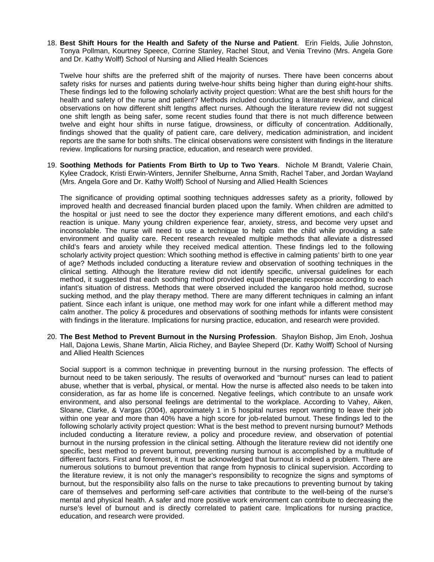18. **Best Shift Hours for the Health and Safety of the Nurse and Patient**. Erin Fields, Julie Johnston, Tonya Pollman, Kourtney Speece, Corrine Stanley, Rachel Stout, and Venia Trevino (Mrs. Angela Gore and Dr. Kathy Wolff) School of Nursing and Allied Health Sciences

Twelve hour shifts are the preferred shift of the majority of nurses. There have been concerns about safety risks for nurses and patients during twelve-hour shifts being higher than during eight-hour shifts. These findings led to the following scholarly activity project question: What are the best shift hours for the health and safety of the nurse and patient? Methods included conducting a literature review, and clinical observations on how different shift lengths affect nurses. Although the literature review did not suggest one shift length as being safer, some recent studies found that there is not much difference between twelve and eight hour shifts in nurse fatigue, drowsiness, or difficulty of concentration. Additionally, findings showed that the quality of patient care, care delivery, medication administration, and incident reports are the same for both shifts. The clinical observations were consistent with findings in the literature review. Implications for nursing practice, education, and research were provided.

19. **Soothing Methods for Patients From Birth to Up to Two Years**. Nichole M Brandt, Valerie Chain, Kylee Cradock, Kristi Erwin-Winters, Jennifer Shelburne, Anna Smith, Rachel Taber, and Jordan Wayland (Mrs. Angela Gore and Dr. Kathy Wolff) School of Nursing and Allied Health Sciences

The significance of providing optimal soothing techniques addresses safety as a priority, followed by improved health and decreased financial burden placed upon the family. When children are admitted to the hospital or just need to see the doctor they experience many different emotions, and each child's reaction is unique. Many young children experience fear, anxiety, stress, and become very upset and inconsolable. The nurse will need to use a technique to help calm the child while providing a safe environment and quality care. Recent research revealed multiple methods that alleviate a distressed child's fears and anxiety while they received medical attention. These findings led to the following scholarly activity project question: Which soothing method is effective in calming patients' birth to one year of age? Methods included conducting a literature review and observation of soothing techniques in the clinical setting. Although the literature review did not identify specific, universal guidelines for each method, it suggested that each soothing method provided equal therapeutic response according to each infant's situation of distress. Methods that were observed included the kangaroo hold method, sucrose sucking method, and the play therapy method. There are many different techniques in calming an infant patient. Since each infant is unique, one method may work for one infant while a different method may calm another. The policy & procedures and observations of soothing methods for infants were consistent with findings in the literature. Implications for nursing practice, education, and research were provided.

20. **The Best Method to Prevent Burnout in the Nursing Profession**. Shaylon Bishop, Jim Enoh, Joshua Hall, Dajona Lewis, Shane Martin, Alicia Richey, and Baylee Sheperd (Dr. Kathy Wolff) School of Nursing and Allied Health Sciences

Social support is a common technique in preventing burnout in the nursing profession. The effects of burnout need to be taken seriously. The results of overworked and "burnout" nurses can lead to patient abuse, whether that is verbal, physical, or mental. How the nurse is affected also needs to be taken into consideration, as far as home life is concerned. Negative feelings, which contribute to an unsafe work environment, and also personal feelings are detrimental to the workplace. According to Vahey, Aiken, Sloane, Clarke, & Vargas (2004), approximately 1 in 5 hospital nurses report wanting to leave their job within one year and more than 40% have a high score for job-related burnout. These findings led to the following scholarly activity project question: What is the best method to prevent nursing burnout? Methods included conducting a literature review, a policy and procedure review, and observation of potential burnout in the nursing profession in the clinical setting. Although the literature review did not identify one specific, best method to prevent burnout, preventing nursing burnout is accomplished by a multitude of different factors. First and foremost, it must be acknowledged that burnout is indeed a problem. There are numerous solutions to burnout prevention that range from hypnosis to clinical supervision. According to the literature review, it is not only the manager's responsibility to recognize the signs and symptoms of burnout, but the responsibility also falls on the nurse to take precautions to preventing burnout by taking care of themselves and performing self-care activities that contribute to the well-being of the nurse's mental and physical health. A safer and more positive work environment can contribute to decreasing the nurse's level of burnout and is directly correlated to patient care. Implications for nursing practice, education, and research were provided.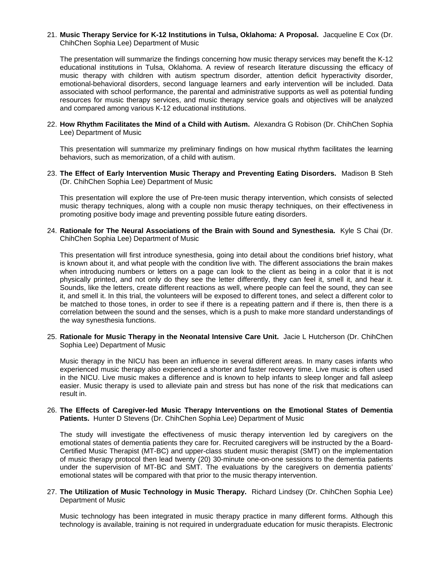#### 21. **Music Therapy Service for K-12 Institutions in Tulsa, Oklahoma: A Proposal.** Jacqueline E Cox (Dr. ChihChen Sophia Lee) Department of Music

The presentation will summarize the findings concerning how music therapy services may benefit the K-12 educational institutions in Tulsa, Oklahoma. A review of research literature discussing the efficacy of music therapy with children with autism spectrum disorder, attention deficit hyperactivity disorder, emotional-behavioral disorders, second language learners and early intervention will be included. Data associated with school performance, the parental and administrative supports as well as potential funding resources for music therapy services, and music therapy service goals and objectives will be analyzed and compared among various K-12 educational institutions.

22. **How Rhythm Facilitates the Mind of a Child with Autism.** Alexandra G Robison (Dr. ChihChen Sophia Lee) Department of Music

This presentation will summarize my preliminary findings on how musical rhythm facilitates the learning behaviors, such as memorization, of a child with autism.

23. **The Effect of Early Intervention Music Therapy and Preventing Eating Disorders.** Madison B Steh (Dr. ChihChen Sophia Lee) Department of Music

This presentation will explore the use of Pre-teen music therapy intervention, which consists of selected music therapy techniques, along with a couple non music therapy techniques, on their effectiveness in promoting positive body image and preventing possible future eating disorders.

24. **Rationale for The Neural Associations of the Brain with Sound and Synesthesia.** Kyle S Chai (Dr. ChihChen Sophia Lee) Department of Music

This presentation will first introduce synesthesia, going into detail about the conditions brief history, what is known about it, and what people with the condition live with. The different associations the brain makes when introducing numbers or letters on a page can look to the client as being in a color that it is not physically printed, and not only do they see the letter differently, they can feel it, smell it, and hear it. Sounds, like the letters, create different reactions as well, where people can feel the sound, they can see it, and smell it. In this trial, the volunteers will be exposed to different tones, and select a different color to be matched to those tones, in order to see if there is a repeating pattern and if there is, then there is a correlation between the sound and the senses, which is a push to make more standard understandings of the way synesthesia functions.

25. **Rationale for Music Therapy in the Neonatal Intensive Care Unit.** Jacie L Hutcherson (Dr. ChihChen Sophia Lee) Department of Music

Music therapy in the NICU has been an influence in several different areas. In many cases infants who experienced music therapy also experienced a shorter and faster recovery time. Live music is often used in the NICU. Live music makes a difference and is known to help infants to sleep longer and fall asleep easier. Music therapy is used to alleviate pain and stress but has none of the risk that medications can result in.

26. **The Effects of Caregiver-led Music Therapy Interventions on the Emotional States of Dementia Patients.** Hunter D Stevens (Dr. ChihChen Sophia Lee) Department of Music

The study will investigate the effectiveness of music therapy intervention led by caregivers on the emotional states of dementia patients they care for. Recruited caregivers will be instructed by the a Board-Certified Music Therapist (MT-BC) and upper-class student music therapist (SMT) on the implementation of music therapy protocol then lead twenty (20) 30-minute one-on-one sessions to the dementia patients under the supervision of MT-BC and SMT. The evaluations by the caregivers on dementia patients' emotional states will be compared with that prior to the music therapy intervention.

27. **The Utilization of Music Technology in Music Therapy.** Richard Lindsey (Dr. ChihChen Sophia Lee) Department of Music

Music technology has been integrated in music therapy practice in many different forms. Although this technology is available, training is not required in undergraduate education for music therapists. Electronic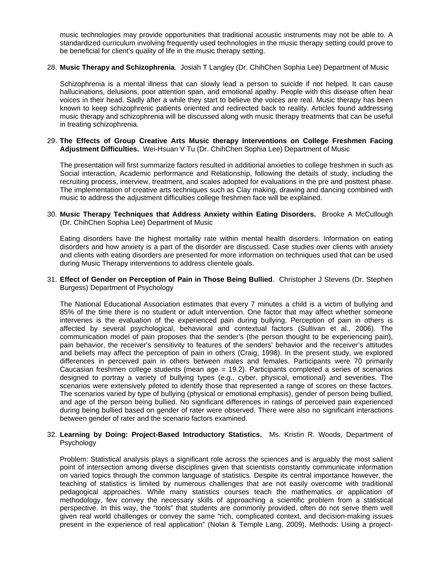music technologies may provide opportunities that traditional acoustic instruments may not be able to. A standardized curriculum involving frequently used technologies in the music therapy setting could prove to be beneficial for client's quality of life in the music therapy setting.

28. **Music Therapy and Schizophrenia**. Josiah T Langley (Dr. ChihChen Sophia Lee) Department of Music

Schizophrenia is a mental illness that can slowly lead a person to suicide if not helped. It can cause hallucinations, delusions, poor attention span, and emotional apathy. People with this disease often hear voices in their head. Sadly after a while they start to believe the voices are real. Music therapy has been known to keep schizophrenic patients oriented and redirected back to reality. Articles found addressing music therapy and schizophrenia will be discussed along with music therapy treatments that can be useful in treating schizophrenia.

29. **The Effects of Group Creative Arts Music therapy Interventions on College Freshmen Facing Adjustment Difficulties.** Wei-Hsuan V Tu (Dr. ChihChen Sophia Lee) Department of Music

The presentation will first summarize factors resulted in additional anxieties to college freshmen in such as Social interaction, Academic performance and Relationship, following the details of study, including the recruiting process, interview, treatment, and scales adopted for evaluations in the pre and posttest phase. The implementation of creative arts techniques such as Clay making, drawing and dancing combined with music to address the adjustment difficulties college freshmen face will be explained.

30. **Music Therapy Techniques that Address Anxiety within Eating Disorders.** Brooke A McCullough (Dr. ChihChen Sophia Lee) Department of Music

Eating disorders have the highest mortality rate within mental health disorders. Information on eating disorders and how anxiety is a part of the disorder are discussed. Case studies over clients with anxiety and clients with eating disorders are presented for more information on techniques used that can be used during Music Therapy interventions to address clientele goals.

31. **Effect of Gender on Perception of Pain in Those Being Bullied**. Christopher J Stevens (Dr. Stephen Burgess) Department of Psychology

The National Educational Association estimates that every 7 minutes a child is a victim of bullying and 85% of the time there is no student or adult intervention. One factor that may affect whether someone intervenes is the evaluation of the experienced pain during bullying. Perception of pain in others is affected by several psychological, behavioral and contextual factors (Sullivan et al., 2006). The communication model of pain proposes that the sender's (the person thought to be experiencing pain), pain behavior, the receiver's sensitivity to features of the senders' behavior and the receiver's attitudes and beliefs may affect the perception of pain in others (Craig, 1998). In the present study, we explored differences in perceived pain in others between males and females. Participants were 70 primarily Caucasian freshmen college students (mean age = 19.2). Participants completed a series of scenarios designed to portray a variety of bullying types (e.g., cyber, physical, emotional) and severities. The scenarios were extensively piloted to identify those that represented a range of scores on these factors. The scenarios varied by type of bullying (physical or emotional emphasis), gender of person being bullied, and age of the person being bullied. No significant differences in ratings of perceived pain experienced during being bullied based on gender of rater were observed. There were also no significant interactions between gender of rater and the scenario factors examined.

#### 32. **Learning by Doing: Project-Based Introductory Statistics.** Ms. Kristin R. Woods, Department of Psychology

Problem: Statistical analysis plays a significant role across the sciences and is arguably the most salient point of intersection among diverse disciplines given that scientists constantly communicate information on varied topics through the common language of statistics. Despite its central importance however, the teaching of statistics is limited by numerous challenges that are not easily overcome with traditional pedagogical approaches. While many statistics courses teach the mathematics or application of methodology, few convey the necessary skills of approaching a scientific problem from a statistical perspective. In this way, the "tools" that students are commonly provided, often do not serve them well given real world challenges or convey the same "rich, complicated context, and decision-making issues present in the experience of real application" (Nolan & Temple Lang, 2009). Methods: Using a project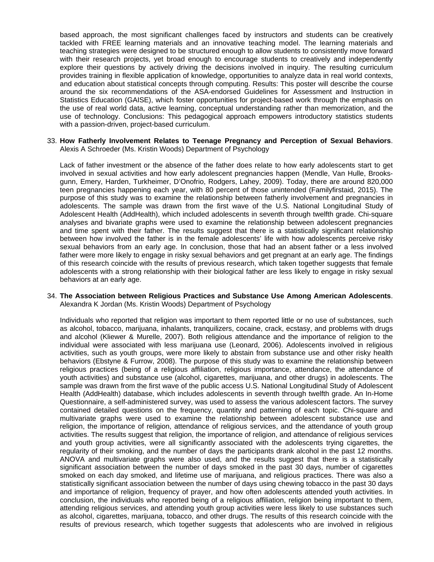based approach, the most significant challenges faced by instructors and students can be creatively tackled with FREE learning materials and an innovative teaching model. The learning materials and teaching strategies were designed to be structured enough to allow students to consistently move forward with their research projects, yet broad enough to encourage students to creatively and independently explore their questions by actively driving the decisions involved in inquiry. The resulting curriculum provides training in flexible application of knowledge, opportunities to analyze data in real world contexts, and education about statistical concepts through computing. Results: This poster will describe the course around the six recommendations of the ASA-endorsed Guidelines for Assessment and Instruction in Statistics Education (GAISE), which foster opportunities for project-based work through the emphasis on the use of real world data, active learning, conceptual understanding rather than memorization, and the use of technology. Conclusions: This pedagogical approach empowers introductory statistics students with a passion-driven, project-based curriculum.

#### 33. **How Fatherly Involvement Relates to Teenage Pregnancy and Perception of Sexual Behaviors**. Alexis A Schroeder (Ms. Kristin Woods) Department of Psychology

Lack of father investment or the absence of the father does relate to how early adolescents start to get involved in sexual activities and how early adolescent pregnancies happen (Mendle, Van Hulle, Brooksgunn, Emery, Harden, Turkheimer, D'Onofrio, Rodgers, Lahey, 2009). Today, there are around 820,000 teen pregnancies happening each year, with 80 percent of those unintended (Familyfirstaid, 2015). The purpose of this study was to examine the relationship between fatherly involvement and pregnancies in adolescents. The sample was drawn from the first wave of the U.S. National Longitudinal Study of Adolescent Health (AddHealth), which included adolescents in seventh through twelfth grade. Chi-square analyses and bivariate graphs were used to examine the relationship between adolescent pregnancies and time spent with their father. The results suggest that there is a statistically significant relationship between how involved the father is in the female adolescents' life with how adolescents perceive risky sexual behaviors from an early age. In conclusion, those that had an absent father or a less involved father were more likely to engage in risky sexual behaviors and get pregnant at an early age. The findings of this research coincide with the results of previous research, which taken together suggests that female adolescents with a strong relationship with their biological father are less likely to engage in risky sexual behaviors at an early age.

#### 34. **The Association between Religious Practices and Substance Use Among American Adolescents**. Alexandra K Jordan (Ms. Kristin Woods) Department of Psychology

Individuals who reported that religion was important to them reported little or no use of substances, such as alcohol, tobacco, marijuana, inhalants, tranquilizers, cocaine, crack, ecstasy, and problems with drugs and alcohol (Kliewer & Murelle, 2007). Both religious attendance and the importance of religion to the individual were associated with less marijuana use (Leonard, 2006). Adolescents involved in religious activities, such as youth groups, were more likely to abstain from substance use and other risky health behaviors (Ebstyne & Furrow, 2008). The purpose of this study was to examine the relationship between religious practices (being of a religious affiliation, religious importance, attendance, the attendance of youth activities) and substance use (alcohol, cigarettes, marijuana, and other drugs) in adolescents. The sample was drawn from the first wave of the public access U.S. National Longitudinal Study of Adolescent Health (AddHealth) database, which includes adolescents in seventh through twelfth grade. An In-Home Questionnaire, a self-administered survey, was used to assess the various adolescent factors. The survey contained detailed questions on the frequency, quantity and patterning of each topic. Chi-square and multivariate graphs were used to examine the relationship between adolescent substance use and religion, the importance of religion, attendance of religious services, and the attendance of youth group activities. The results suggest that religion, the importance of religion, and attendance of religious services and youth group activities, were all significantly associated with the adolescents trying cigarettes, the regularity of their smoking, and the number of days the participants drank alcohol in the past 12 months. ANOVA and multivariate graphs were also used, and the results suggest that there is a statistically significant association between the number of days smoked in the past 30 days, number of cigarettes smoked on each day smoked, and lifetime use of marijuana, and religious practices. There was also a statistically significant association between the number of days using chewing tobacco in the past 30 days and importance of religion, frequency of prayer, and how often adolescents attended youth activities. In conclusion, the individuals who reported being of a religious affiliation, religion being important to them, attending religious services, and attending youth group activities were less likely to use substances such as alcohol, cigarettes, marijuana, tobacco, and other drugs. The results of this research coincide with the results of previous research, which together suggests that adolescents who are involved in religious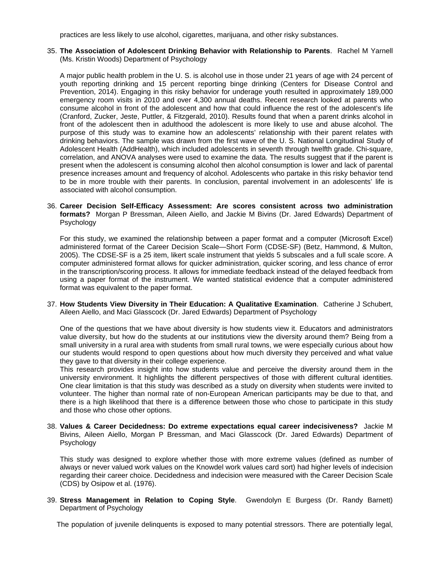practices are less likely to use alcohol, cigarettes, marijuana, and other risky substances.

35. **The Association of Adolescent Drinking Behavior with Relationship to Parents**. Rachel M Yarnell (Ms. Kristin Woods) Department of Psychology

A major public health problem in the U. S. is alcohol use in those under 21 years of age with 24 percent of youth reporting drinking and 15 percent reporting binge drinking (Centers for Disease Control and Prevention, 2014). Engaging in this risky behavior for underage youth resulted in approximately 189,000 emergency room visits in 2010 and over 4,300 annual deaths. Recent research looked at parents who consume alcohol in front of the adolescent and how that could influence the rest of the adolescent's life (Cranford, Zucker, Jeste, Puttler, & Fitzgerald, 2010). Results found that when a parent drinks alcohol in front of the adolescent then in adulthood the adolescent is more likely to use and abuse alcohol. The purpose of this study was to examine how an adolescents' relationship with their parent relates with drinking behaviors. The sample was drawn from the first wave of the U. S. National Longitudinal Study of Adolescent Health (AddHealth), which included adolescents in seventh through twelfth grade. Chi-square, correlation, and ANOVA analyses were used to examine the data. The results suggest that if the parent is present when the adolescent is consuming alcohol then alcohol consumption is lower and lack of parental presence increases amount and frequency of alcohol. Adolescents who partake in this risky behavior tend to be in more trouble with their parents. In conclusion, parental involvement in an adolescents' life is associated with alcohol consumption.

36. **Career Decision Self-Efficacy Assessment: Are scores consistent across two administration formats?** Morgan P Bressman, Aileen Aiello, and Jackie M Bivins (Dr. Jared Edwards) Department of Psychology

For this study, we examined the relationship between a paper format and a computer (Microsoft Excel) administered format of the Career Decision Scale—Short Form (CDSE-SF) (Betz, Hammond, & Multon, 2005). The CDSE-SF is a 25 item, likert scale instrument that yields 5 subscales and a full scale score. A computer administered format allows for quicker administration, quicker scoring, and less chance of error in the transcription/scoring process. It allows for immediate feedback instead of the delayed feedback from using a paper format of the instrument. We wanted statistical evidence that a computer administered format was equivalent to the paper format.

37. **How Students View Diversity in Their Education: A Qualitative Examination**. Catherine J Schubert, Aileen Aiello, and Maci Glasscock (Dr. Jared Edwards) Department of Psychology

One of the questions that we have about diversity is how students view it. Educators and administrators value diversity, but how do the students at our institutions view the diversity around them? Being from a small university in a rural area with students from small rural towns, we were especially curious about how our students would respond to open questions about how much diversity they perceived and what value they gave to that diversity in their college experience.

This research provides insight into how students value and perceive the diversity around them in the university environment. It highlights the different perspectives of those with different cultural identities. One clear limitation is that this study was described as a study on diversity when students were invited to volunteer. The higher than normal rate of non-European American participants may be due to that, and there is a high likelihood that there is a difference between those who chose to participate in this study and those who chose other options.

38. **Values & Career Decidedness: Do extreme expectations equal career indecisiveness?** Jackie M Bivins, Aileen Aiello, Morgan P Bressman, and Maci Glasscock (Dr. Jared Edwards) Department of Psychology

This study was designed to explore whether those with more extreme values (defined as number of always or never valued work values on the Knowdel work values card sort) had higher levels of indecision regarding their career choice. Decidedness and indecision were measured with the Career Decision Scale (CDS) by Osipow et al. (1976).

39. **Stress Management in Relation to Coping Style**. Gwendolyn E Burgess (Dr. Randy Barnett) Department of Psychology

The population of juvenile delinquents is exposed to many potential stressors. There are potentially legal,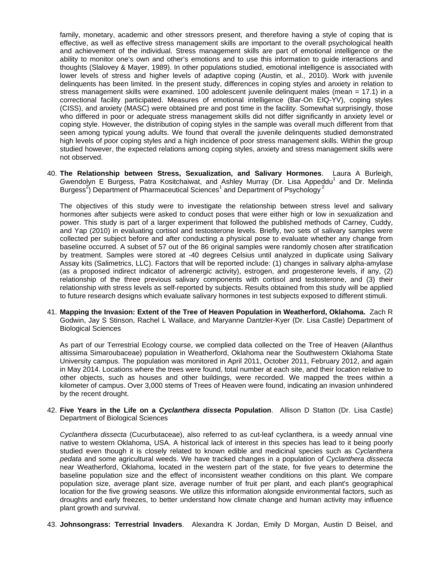family, monetary, academic and other stressors present, and therefore having a style of coping that is effective, as well as effective stress management skills are important to the overall psychological health and achievement of the individual. Stress management skills are part of emotional intelligence or the ability to monitor one's own and other's emotions and to use this information to guide interactions and thoughts (Slalovey & Mayer, 1989). In other populations studied, emotional intelligence is associated with lower levels of stress and higher levels of adaptive coping (Austin, et al., 2010). Work with juvenile delinquents has been limited. In the present study, differences in coping styles and anxiety in relation to stress management skills were examined. 100 adolescent juvenile delinquent males (mean = 17.1) in a correctional facility participated. Measures of emotional intelligence (Bar-On EIQ-YV), coping styles (CISS), and anxiety (MASC) were obtained pre and post time in the facility. Somewhat surprisingly, those who differed in poor or adequate stress management skills did not differ significantly in anxiety level or coping style. However, the distribution of coping styles in the sample was overall much different from that seen among typical young adults. We found that overall the juvenile delinquents studied demonstrated high levels of poor coping styles and a high incidence of poor stress management skills. Within the group studied however, the expected relations among coping styles, anxiety and stress management skills were not observed.

40. **The Relationship between Stress, Sexualization, and Salivary Hormones**. Laura A Burleigh, Gwendolyn E Burgess, Patra Kositchaiwat, and Ashley Murray (Dr. Lisa Appeddu<sup>1</sup> and Dr. Melinda Burgess<sup>2</sup>) Department of Pharmaceutical Sciences<sup>1</sup> and Department of Psychology<sup>2</sup>

The objectives of this study were to investigate the relationship between stress level and salivary hormones after subjects were asked to conduct poses that were either high or low in sexualization and power. This study is part of a larger experiment that followed the published methods of Carney, Cuddy, and Yap (2010) in evaluating cortisol and testosterone levels. Briefly, two sets of salivary samples were collected per subject before and after conducting a physical pose to evaluate whether any change from baseline occurred. A subset of 57 out of the 86 original samples were randomly chosen after stratification by treatment. Samples were stored at -40 degrees Celsius until analyzed in duplicate using Salivary Assay kits (Salimetrics, LLC). Factors that will be reported include: (1) changes in salivary alpha-amylase (as a proposed indirect indicator of adrenergic activity), estrogen, and progesterone levels, if any, (2) relationship of the three previous salivary components with cortisol and testosterone, and (3) their relationship with stress levels as self-reported by subjects. Results obtained from this study will be applied to future research designs which evaluate salivary hormones in test subjects exposed to different stimuli.

41. **Mapping the Invasion: Extent of the Tree of Heaven Population in Weatherford, Oklahoma.** Zach R Godwin, Jay S Stinson, Rachel L Wallace, and Maryanne Dantzler-Kyer (Dr. Lisa Castle) Department of Biological Sciences

As part of our Terrestrial Ecology course, we complied data collected on the Tree of Heaven (Ailanthus altissima Simaroubaceae) population in Weatherford, Oklahoma near the Southwestern Oklahoma State University campus. The population was monitored in April 2011, October 2011, February 2012, and again in May 2014. Locations where the trees were found, total number at each site, and their location relative to other objects, such as houses and other buildings, were recorded. We mapped the trees within a kilometer of campus. Over 3,000 stems of Trees of Heaven were found, indicating an invasion unhindered by the recent drought.

42. **Five Years in the Life on a** *Cyclanthera dissecta* **Population**. Allison D Statton (Dr. Lisa Castle) Department of Biological Sciences

*Cyclanthera dissecta* (Cucurbutaceae), also referred to as cut-leaf cyclanthera, is a weedy annual vine native to western Oklahoma, USA. A historical lack of interest in this species has lead to it being poorly studied even though it is closely related to known edible and medicinal species such as *Cyclanthera pedata* and some agricultural weeds. We have tracked changes in a population of *Cyclanthera dissecta* near Weatherford, Oklahoma, located in the western part of the state, for five years to determine the baseline population size and the effect of inconsistent weather conditions on this plant. We compare population size, average plant size, average number of fruit per plant, and each plant's geographical location for the five growing seasons. We utilize this information alongside environmental factors, such as droughts and early freezes, to better understand how climate change and human activity may influence plant growth and survival.

43. **Johnsongrass: Terrestrial Invaders**. Alexandra K Jordan, Emily D Morgan, Austin D Beisel, and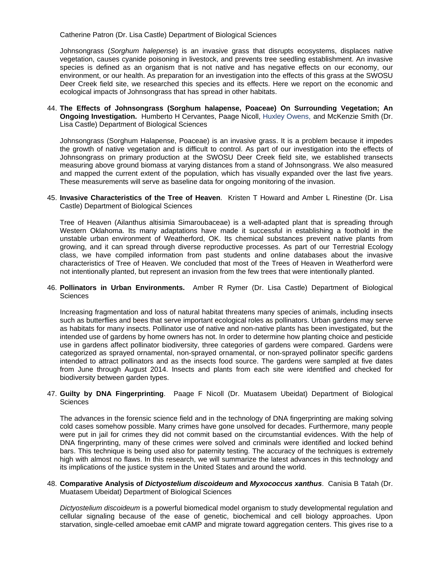Catherine Patron (Dr. Lisa Castle) Department of Biological Sciences

Johnsongrass (*Sorghum halepense*) is an invasive grass that disrupts ecosystems, displaces native vegetation, causes cyanide poisoning in livestock, and prevents tree seedling establishment. An invasive species is defined as an organism that is not native and has negative effects on our economy, our environment, or our health. As preparation for an investigation into the effects of this grass at the SWOSU Deer Creek field site, we researched this species and its effects. Here we report on the economic and ecological impacts of Johnsongrass that has spread in other habitats.

44. **The Effects of Johnsongrass (Sorghum halapense, Poaceae) On Surrounding Vegetation; An Ongoing Investigation.** Humberto H Cervantes, Paage Nicoll, Huxley Owens, and McKenzie Smith (Dr. Lisa Castle) Department of Biological Sciences

Johnsongrass (Sorghum Halapense, Poaceae) is an invasive grass. It is a problem because it impedes the growth of native vegetation and is difficult to control. As part of our investigation into the effects of Johnsongrass on primary production at the SWOSU Deer Creek field site, we established transects measuring above ground biomass at varying distances from a stand of Johnsongrass. We also measured and mapped the current extent of the population, which has visually expanded over the last five years. These measurements will serve as baseline data for ongoing monitoring of the invasion.

45. **Invasive Characteristics of the Tree of Heaven**. Kristen T Howard and Amber L Rinestine (Dr. Lisa Castle) Department of Biological Sciences

Tree of Heaven (Ailanthus altisimia Simaroubaceae) is a well-adapted plant that is spreading through Western Oklahoma. Its many adaptations have made it successful in establishing a foothold in the unstable urban environment of Weatherford, OK. Its chemical substances prevent native plants from growing, and it can spread through diverse reproductive processes. As part of our Terrestrial Ecology class, we have compiled information from past students and online databases about the invasive characteristics of Tree of Heaven. We concluded that most of the Trees of Heaven in Weatherford were not intentionally planted, but represent an invasion from the few trees that were intentionally planted.

46. **Pollinators in Urban Environments.** Amber R Rymer (Dr. Lisa Castle) Department of Biological **Sciences** 

Increasing fragmentation and loss of natural habitat threatens many species of animals, including insects such as butterflies and bees that serve important ecological roles as pollinators. Urban gardens may serve as habitats for many insects. Pollinator use of native and non-native plants has been investigated, but the intended use of gardens by home owners has not. In order to determine how planting choice and pesticide use in gardens affect pollinator biodiversity, three categories of gardens were compared. Gardens were categorized as sprayed ornamental, non-sprayed ornamental, or non-sprayed pollinator specific gardens intended to attract pollinators and as the insects food source. The gardens were sampled at five dates from June through August 2014. Insects and plants from each site were identified and checked for biodiversity between garden types.

#### 47. **Guilty by DNA Fingerprinting**. Paage F Nicoll (Dr. Muatasem Ubeidat) Department of Biological **Sciences**

The advances in the forensic science field and in the technology of DNA fingerprinting are making solving cold cases somehow possible. Many crimes have gone unsolved for decades. Furthermore, many people were put in jail for crimes they did not commit based on the circumstantial evidences. With the help of DNA fingerprinting, many of these crimes were solved and criminals were identified and locked behind bars. This technique is being used also for paternity testing. The accuracy of the techniques is extremely high with almost no flaws. In this research, we will summarize the latest advances in this technology and its implications of the justice system in the United States and around the world.

48. **Comparative Analysis of** *Dictyostelium discoideum* **and** *Myxococcus xanthus*. Canisia B Tatah (Dr. Muatasem Ubeidat) Department of Biological Sciences

*Dictyostelium discoideum* is a powerful biomedical model organism to study developmental regulation and cellular signaling because of the ease of genetic, biochemical and cell biology approaches. Upon starvation, single-celled amoebae emit cAMP and migrate toward aggregation centers. This gives rise to a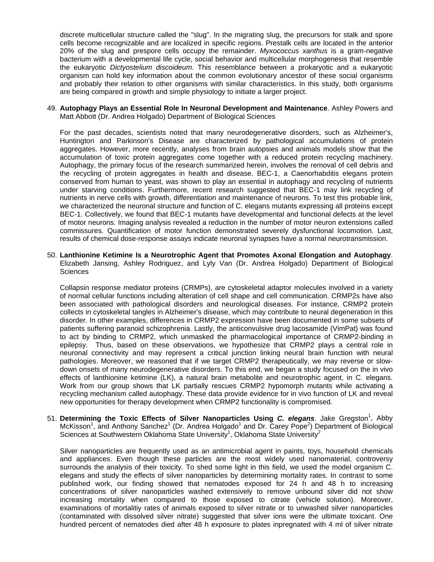discrete multicellular structure called the "slug". In the migrating slug, the precursors for stalk and spore cells become recognizable and are localized in specific regions. Prestalk cells are located in the anterior 20% of the slug and prespore cells occupy the remainder. *Myxococcus xanthus* is a gram-negative bacterium with a developmental life cycle, social behavior and multicellular morphogenesis that resemble the eukaryotic *Dictyostelium discoideum*. This resemblance between a prokaryotic and a eukaryotic organism can hold key information about the common evolutionary ancestor of these social organisms and probably their relation to other organisms with similar characteristics. In this study, both organisms are being compared in growth and simple physiology to initiate a larger project.

#### 49. **Autophagy Plays an Essential Role In Neuronal Development and Maintenance**. Ashley Powers and Matt Abbott (Dr. Andrea Holgado) Department of Biological Sciences

For the past decades, scientists noted that many neurodegenerative disorders, such as Alzheimer's, Huntington and Parkinson's Disease are characterized by pathological accumulations of protein aggregates. However, more recently, analyses from brain autopsies and animals models show that the accumulation of toxic protein aggregates come together with a reduced protein recycling machinery. Autophagy, the primary focus of the research summarized herein, involves the removal of cell debris and the recycling of protein aggregates in health and disease. BEC-1, a Caenorhabditis elegans protein conserved from human to yeast, was shown to play an essential in autophagy and recycling of nutrients under starving conditions. Furthermore, recent research suggested that BEC-1 may link recycling of nutrients in nerve cells with growth, differentiation and maintenance of neurons. To test this probable link, we characterized the neuronal structure and function of C. elegans mutants expressing all proteins except BEC-1. Collectively, we found that BEC-1 mutants have developmental and functional defects at the level of motor neurons. Imaging analysis revealed a reduction in the number of motor neuron extensions called commissures. Quantification of motor function demonstrated severely dysfunctional locomotion. Last, results of chemical dose-response assays indicate neuronal synapses have a normal neurotransmission.

50. **Lanthionine Ketimine Is a Neurotrophic Agent that Promotes Axonal Elongation and Autophagy**. Elizabeth Jansing, Ashley Rodriguez, and Lyly Van (Dr. Andrea Holgado) Department of Biological **Sciences** 

Collapsin response mediator proteins (CRMPs), are cytoskeletal adaptor molecules involved in a variety of normal cellular functions including alteration of cell shape and cell communication. CRMP2s have also been associated with pathological disorders and neurological diseases. For instance, CRMP2 protein collects in cytoskeletal tangles in Alzheimer's disease, which may contribute to neural degeneration in this disorder. In other examples, differences in CRMP2 expression have been documented in some subsets of patients suffering paranoid schizophrenia. Lastly, the anticonvulsive drug lacosamide (VimPat) was found to act by binding to CRMP2, which unmasked the pharmacological importance of CRMP2-binding in epilepsy. Thus, based on these observations, we hypothesize that CRMP2 plays a central role in neuronal connectivity and may represent a critical junction linking neural brain function with neural pathologies. Moreover, we reasoned that if we target CRMP2 therapeutically, we may reverse or slowdown onsets of many neurodegenerative disorders. To this end, we began a study focused on the in vivo effects of lanthionine ketimine (LK), a natural brain metabolite and neurotrophic agent, in C. elegans. Work from our group shows that LK partially rescues CRMP2 hypomorph mutants while activating a recycling mechanism called autophagy. These data provide evidence for in vivo function of LK and reveal new opportunities for therapy development when CRMP2 functionality is compromised.

51. Determining the Toxic Effects of Silver Nanoparticles Using C. elegans. Jake Gregston<sup>1</sup>, Abby McKisson<sup>1</sup>, and Anthony Sanchez<sup>1</sup> (Dr. Andrea Holgado<sup>1</sup> and Dr. Carey Pope<sup>2</sup>) Department of Biological Sciences at Southwestern Oklahoma State University<sup>1</sup>, Oklahoma State University<sup>2</sup>

Silver nanoparticles are frequently used as an antimicrobial agent in paints, toys, household chemicals and appliances. Even though these particles are the most widely used nanomaterial, controversy surrounds the analysis of their toxicity. To shed some light in this field, we used the model organism C. elegans and study the effects of silver nanoparticles by determining mortality rates. In contrast to some published work, our finding showed that nematodes exposed for 24 h and 48 h to increasing concentrations of silver nanoparticles washed extensively to remove unbound silver did not show increasing mortality when compared to those exposed to citrate (vehicle solution). Moreover, examinations of mortalitiy rates of animals exposed to silver nitrate or to unwashed silver nanoparticles (contaminated with dissolved silver nitrate) suggested that silver ions were the ultimate toxicant. One hundred percent of nematodes died after 48 h exposure to plates inpregnated with 4 ml of silver nitrate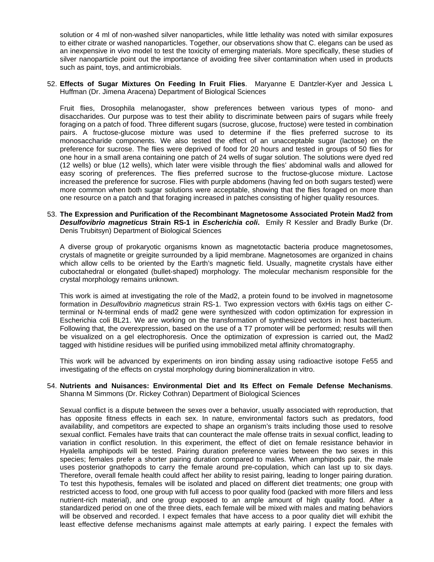solution or 4 ml of non-washed silver nanoparticles, while little lethality was noted with similar exposures to either citrate or washed nanoparticles. Together, our observations show that C. elegans can be used as an inexpensive in vivo model to test the toxicity of emerging materials. More specifically, these studies of silver nanoparticle point out the importance of avoiding free silver contamination when used in products such as paint, toys, and antimicrobials.

52. **Effects of Sugar Mixtures On Feeding In Fruit Flies**. Maryanne E Dantzler-Kyer and Jessica L Huffman (Dr. Jimena Aracena) Department of Biological Sciences

Fruit flies, Drosophila melanogaster, show preferences between various types of mono- and disaccharides. Our purpose was to test their ability to discriminate between pairs of sugars while freely foraging on a patch of food. Three different sugars (sucrose, glucose, fructose) were tested in combination pairs. A fructose-glucose mixture was used to determine if the flies preferred sucrose to its monosaccharide components. We also tested the effect of an unacceptable sugar (lactose) on the preference for sucrose. The flies were deprived of food for 20 hours and tested in groups of 50 flies for one hour in a small arena containing one patch of 24 wells of sugar solution. The solutions were dyed red (12 wells) or blue (12 wells), which later were visible through the flies' abdominal walls and allowed for easy scoring of preferences. The flies preferred sucrose to the fructose-glucose mixture. Lactose increased the preference for sucrose. Flies with purple abdomens (having fed on both sugars tested) were more common when both sugar solutions were acceptable, showing that the flies foraged on more than one resource on a patch and that foraging increased in patches consisting of higher quality resources.

53. **The Expression and Purification of the Recombinant Magnetosome Associated Protein Mad2 from**  *Desulfovibrio magneticus* **Strain RS-1 in** *Escherichia coli***.** Emily R Kessler and Bradly Burke (Dr. Denis Trubitsyn) Department of Biological Sciences

A diverse group of prokaryotic organisms known as magnetotactic bacteria produce magnetosomes, crystals of magnetite or greigite surrounded by a lipid membrane. Magnetosomes are organized in chains which allow cells to be oriented by the Earth's magnetic field. Usually, magnetite crystals have either cuboctahedral or elongated (bullet-shaped) morphology. The molecular mechanism responsible for the crystal morphology remains unknown.

This work is aimed at investigating the role of the Mad2, a protein found to be involved in magnetosome formation in *Desulfovibrio magneticus* strain RS-1. Two expression vectors with 6xHis tags on either Cterminal or N-terminal ends of mad2 gene were synthesized with codon optimization for expression in Escherichia coli BL21. We are working on the transformation of synthesized vectors in host bacterium. Following that, the overexpression, based on the use of a T7 promoter will be performed; results will then be visualized on a gel electrophoresis. Once the optimization of expression is carried out, the Mad2 tagged with histidine residues will be purified using immobilized metal affinity chromatography.

This work will be advanced by experiments on iron binding assay using radioactive isotope Fe55 and investigating of the effects on crystal morphology during biomineralization in vitro.

#### 54. **Nutrients and Nuisances: Environmental Diet and Its Effect on Female Defense Mechanisms**. Shanna M Simmons (Dr. Rickey Cothran) Department of Biological Sciences

Sexual conflict is a dispute between the sexes over a behavior, usually associated with reproduction, that has opposite fitness effects in each sex. In nature, environmental factors such as predators, food availability, and competitors are expected to shape an organism's traits including those used to resolve sexual conflict. Females have traits that can counteract the male offense traits in sexual conflict, leading to variation in conflict resolution. In this experiment, the effect of diet on female resistance behavior in Hyalella amphipods will be tested. Pairing duration preference varies between the two sexes in this species; females prefer a shorter pairing duration compared to males. When amphipods pair, the male uses posterior gnathopods to carry the female around pre-copulation, which can last up to six days. Therefore, overall female health could affect her ability to resist pairing, leading to longer pairing duration. To test this hypothesis, females will be isolated and placed on different diet treatments; one group with restricted access to food, one group with full access to poor quality food (packed with more fillers and less nutrient-rich material), and one group exposed to an ample amount of high quality food. After a standardized period on one of the three diets, each female will be mixed with males and mating behaviors will be observed and recorded. I expect females that have access to a poor quality diet will exhibit the least effective defense mechanisms against male attempts at early pairing. I expect the females with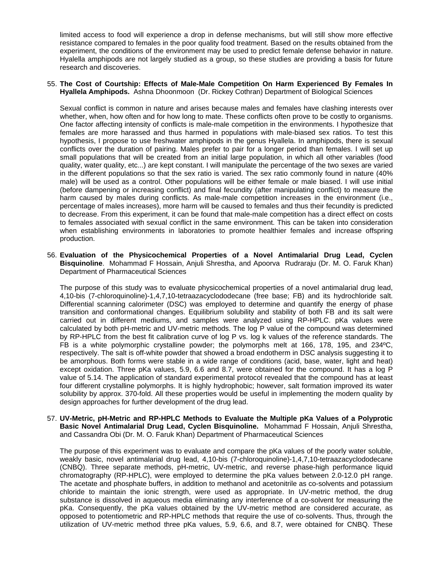limited access to food will experience a drop in defense mechanisms, but will still show more effective resistance compared to females in the poor quality food treatment. Based on the results obtained from the experiment, the conditions of the environment may be used to predict female defense behavior in nature. Hyalella amphipods are not largely studied as a group, so these studies are providing a basis for future research and discoveries.

#### 55. **The Cost of Courtship: Effects of Male-Male Competition On Harm Experienced By Females In Hyallela Amphipods.** Ashna Dhoonmoon (Dr. Rickey Cothran) Department of Biological Sciences

Sexual conflict is common in nature and arises because males and females have clashing interests over whether, when, how often and for how long to mate. These conflicts often prove to be costly to organisms. One factor affecting intensity of conflicts is male-male competition in the environments. I hypothesize that females are more harassed and thus harmed in populations with male-biased sex ratios. To test this hypothesis, I propose to use freshwater amphipods in the genus Hyallela. In amphipods, there is sexual conflicts over the duration of pairing. Males prefer to pair for a longer period than females. I will set up small populations that will be created from an initial large population, in which all other variables (food quality, water quality, etc...) are kept constant. I will manipulate the percentage of the two sexes are varied in the different populations so that the sex ratio is varied. The sex ratio commonly found in nature (40% male) will be used as a control. Other populations will be either female or male biased. I will use initial (before dampening or increasing conflict) and final fecundity (after manipulating conflict) to measure the harm caused by males during conflicts. As male-male competition increases in the environment (i.e., percentage of males increases), more harm will be caused to females and thus their fecundity is predicted to decrease. From this experiment, it can be found that male-male competition has a direct effect on costs to females associated with sexual conflict in the same environment. This can be taken into consideration when establishing environments in laboratories to promote healthier females and increase offspring production.

56. **Evaluation of the Physicochemical Properties of a Novel Antimalarial Drug Lead, Cyclen Bisquinoline**. Mohammad F Hossain, Anjuli Shrestha, and Apoorva Rudraraju (Dr. M. O. Faruk Khan) Department of Pharmaceutical Sciences

The purpose of this study was to evaluate physicochemical properties of a novel antimalarial drug lead, 4,10-bis (7-chloroquinoline)-1,4,7,10-tetraazacyclododecane (free base; FB) and its hydrochloride salt. Differential scanning calorimeter (DSC) was employed to determine and quantify the energy of phase transition and conformational changes. Equilibrium solubility and stability of both FB and its salt were carried out in different mediums, and samples were analyzed using RP-HPLC. pKa values were calculated by both pH-metric and UV-metric methods. The log P value of the compound was determined by RP-HPLC from the best fit calibration curve of log P vs. log k values of the reference standards. The FB is a white polymorphic crystalline powder; the polymorphs melt at 166, 178, 195, and 234ºC, respectively. The salt is off-white powder that showed a broad endotherm in DSC analysis suggesting it to be amorphous. Both forms were stable in a wide range of conditions (acid, base, water, light and heat) except oxidation. Three pKa values, 5.9, 6.6 and 8.7, were obtained for the compound. It has a log P value of 5.14. The application of standard experimental protocol revealed that the compound has at least four different crystalline polymorphs. It is highly hydrophobic; however, salt formation improved its water solubility by approx. 370-fold. All these properties would be useful in implementing the modern quality by design approaches for further development of the drug lead.

57. **UV-Metric, pH-Metric and RP-HPLC Methods to Evaluate the Multiple pKa Values of a Polyprotic Basic Novel Antimalarial Drug Lead, Cyclen Bisquinoline.** Mohammad F Hossain, Anjuli Shrestha, and Cassandra Obi (Dr. M. O. Faruk Khan) Department of Pharmaceutical Sciences

The purpose of this experiment was to evaluate and compare the pKa values of the poorly water soluble, weakly basic, novel antimalarial drug lead, 4,10-bis (7-chloroquinoline)-1,4,7,10-tetraazacyclododecane (CNBQ). Three separate methods, pH-metric, UV-metric, and reverse phase-high performance liquid chromatography (RP-HPLC), were employed to determine the pKa values between 2.0-12.0 pH range. The acetate and phosphate buffers, in addition to methanol and acetonitrile as co-solvents and potassium chloride to maintain the ionic strength, were used as appropriate. In UV-metric method, the drug substance is dissolved in aqueous media eliminating any interference of a co-solvent for measuring the pKa. Consequently, the pKa values obtained by the UV-metric method are considered accurate, as opposed to potentiometric and RP-HPLC methods that require the use of co-solvents. Thus, through the utilization of UV-metric method three pKa values, 5.9, 6.6, and 8.7, were obtained for CNBQ. These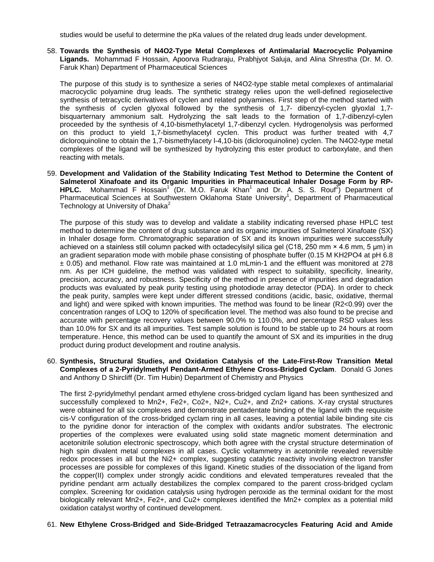studies would be useful to determine the pKa values of the related drug leads under development.

58. **Towards the Synthesis of N4O2-Type Metal Complexes of Antimalarial Macrocyclic Polyamine Ligands.** Mohammad F Hossain, Apoorva Rudraraju, Prabhjyot Saluja, and Alina Shrestha (Dr. M. O. Faruk Khan) Department of Pharmaceutical Sciences

The purpose of this study is to synthesize a series of N4O2-type stable metal complexes of antimalarial macrocyclic polyamine drug leads. The synthetic strategy relies upon the well-defined regioselective synthesis of tetracyclic derivatives of cyclen and related polyamines. First step of the method started with the synthesis of cyclen glyoxal followed by the synthesis of 1,7- dibenzyl-cyclen glyoxlal 1,7 bisquarternary ammonium salt. Hydrolyzing the salt leads to the formation of 1,7-dibenzyl-cylen proceeded by the synthesis of 4,10-bismethylacetyl 1,7-dibenzyl cyclen. Hydrogenolysis was performed on this product to yield 1,7-bismethylacetyl cyclen. This product was further treated with 4,7 dicloroquinoline to obtain the 1,7-bismethylacety l-4,10-bis (dicloroquinoline) cyclen. The N4O2-type metal complexes of the ligand will be synthesized by hydrolyzing this ester product to carboxylate, and then reacting with metals.

59. **Development and Validation of the Stability Indicating Test Method to Determine the Content of Salmeterol Xinafoate and its Organic Impurities in Pharmaceutical Inhaler Dosage Form by RP-**HPLC. Mohammad F Hossain<sup>1</sup> (Dr. M.O. Faruk Khan<sup>1</sup> and Dr. A. S. S. Rouf<sup>2</sup>) Department of Pharmaceutical Sciences at Southwestern Oklahoma State University<sup>1</sup>, Department of Pharmaceutical Technology at University of Dhaka $2$ 

The purpose of this study was to develop and validate a stability indicating reversed phase HPLC test method to determine the content of drug substance and its organic impurities of Salmeterol Xinafoate (SX) in Inhaler dosage form. Chromatographic separation of SX and its known impurities were successfully achieved on a stainless still column packed with octadecylsilyl silica gel (C18, 250 mm × 4.6 mm, 5 μm) in an gradient separation mode with mobile phase consisting of phosphate buffer (0.15 M KH2PO4 at pH 6.8 ± 0.05) and methanol. Flow rate was maintained at 1.0 mLmin-1 and the effluent was monitored at 278 nm. As per ICH guideline, the method was validated with respect to suitability, specificity, linearity, precision, accuracy, and robustness. Specificity of the method in presence of impurities and degradation products was evaluated by peak purity testing using photodiode array detector (PDA). In order to check the peak purity, samples were kept under different stressed conditions (acidic, basic, oxidative, thermal and light) and were spiked with known impurities. The method was found to be linear (R2<0.99) over the concentration ranges of LOQ to 120% of specification level. The method was also found to be precise and accurate with percentage recovery values between 90.0% to 110.0%, and percentage RSD values less than 10.0% for SX and its all impurities. Test sample solution is found to be stable up to 24 hours at room temperature. Hence, this method can be used to quantify the amount of SX and its impurities in the drug product during product development and routine analysis.

60. **Synthesis, Structural Studies, and Oxidation Catalysis of the Late-First-Row Transition Metal Complexes of a 2-Pyridylmethyl Pendant-Armed Ethylene Cross-Bridged Cyclam**. Donald G Jones and Anthony D Shircliff (Dr. Tim Hubin) Department of Chemistry and Physics

The first 2-pyridylmethyl pendant armed ethylene cross-bridged cyclam ligand has been synthesized and successfully complexed to Mn2+, Fe2+, Co2+, Ni2+, Cu2+, and Zn2+ cations. X-ray crystal structures were obtained for all six complexes and demonstrate pentadentate binding of the ligand with the requisite cis-V configuration of the cross-bridged cyclam ring in all cases, leaving a potential labile binding site cis to the pyridine donor for interaction of the complex with oxidants and/or substrates. The electronic properties of the complexes were evaluated using solid state magnetic moment determination and acetonitrile solution electronic spectroscopy, which both agree with the crystal structure determination of high spin divalent metal complexes in all cases. Cyclic voltammetry in acetonitrile revealed reversible redox processes in all but the Ni2+ complex, suggesting catalytic reactivity involving electron transfer processes are possible for complexes of this ligand. Kinetic studies of the dissociation of the ligand from the copper(II) complex under strongly acidic conditions and elevated temperatures revealed that the pyridine pendant arm actually destabilizes the complex compared to the parent cross-bridged cyclam complex. Screening for oxidation catalysis using hydrogen peroxide as the terminal oxidant for the most biologically relevant Mn2+, Fe2+, and Cu2+ complexes identified the Mn2+ complex as a potential mild oxidation catalyst worthy of continued development.

#### 61. **New Ethylene Cross-Bridged and Side-Bridged Tetraazamacrocycles Featuring Acid and Amide**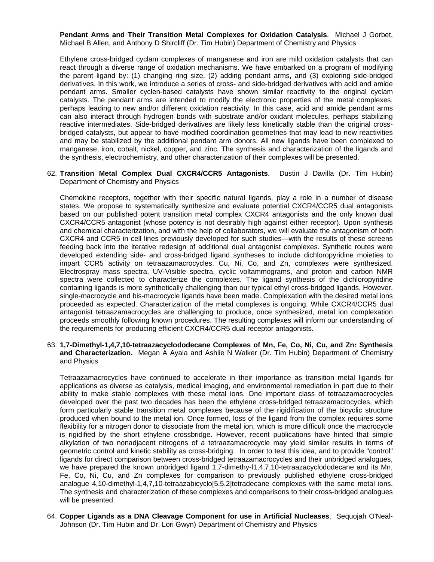**Pendant Arms and Their Transition Metal Complexes for Oxidation Catalysis**. Michael J Gorbet, Michael B Allen, and Anthony D Shircliff (Dr. Tim Hubin) Department of Chemistry and Physics

Ethylene cross-bridged cyclam complexes of manganese and iron are mild oxidation catalysts that can react through a diverse range of oxidation mechanisms. We have embarked on a program of modifying the parent ligand by: (1) changing ring size, (2) adding pendant arms, and (3) exploring side-bridged derivatives. In this work, we introduce a series of cross- and side-bridged derivatives with acid and amide pendant arms. Smaller cyclen-based catalysts have shown similar reactivity to the original cyclam catalysts. The pendant arms are intended to modify the electronic properties of the metal complexes, perhaps leading to new and/or different oxidation reactivity. In this case, acid and amide pendant arms can also interact through hydrogen bonds with substrate and/or oxidant molecules, perhaps stabilizing reactive intermediates. Side-bridged derivatives are likely less kinetically stable than the original crossbridged catalysts, but appear to have modified coordination geometries that may lead to new reactivities and may be stabilized by the additional pendant arm donors. All new ligands have been complexed to manganese, iron, cobalt, nickel, copper, and zinc. The synthesis and characterization of the ligands and the synthesis, electrochemistry, and other characterization of their complexes will be presented.

62. **Transition Metal Complex Dual CXCR4/CCR5 Antagonists**. Dustin J Davilla (Dr. Tim Hubin) Department of Chemistry and Physics

Chemokine receptors, together with their specific natural ligands, play a role in a number of disease states. We propose to systematically synthesize and evaluate potential CXCR4/CCR5 dual antagonists based on our published potent transition metal complex CXCR4 antagonists and the only known dual CXCR4/CCR5 antagonist (whose potency is not desirably high against either receptor). Upon synthesis and chemical characterization, and with the help of collaborators, we will evaluate the antagonism of both CXCR4 and CCR5 in cell lines previously developed for such studies—with the results of these screens feeding back into the iterative redesign of additional dual antagonist complexes. Synthetic routes were developed extending side- and cross-bridged ligand syntheses to include dichloropyridine moieties to impart CCR5 activity on tetraazamacrocycles. Cu, Ni, Co, and Zn, complexes were synthesized. Electrospray mass spectra, UV-Visible spectra, cyclic voltammograms, and proton and carbon NMR spectra were collected to characterize the complexes. The ligand synthesis of the dichloropyridine containing ligands is more synthetically challenging than our typical ethyl cross-bridged ligands. However, single-macrocycle and bis-macrocycle ligands have been made. Complexation with the desired metal ions proceeded as expected. Characterization of the metal complexes is ongoing. While CXCR4/CCR5 dual antagonist tetraazamacrocycles are challenging to produce, once synthesized, metal ion complexation proceeds smoothly following known procedures. The resulting complexes will inform our understanding of the requirements for producing efficient CXCR4/CCR5 dual receptor antagonists.

63. **1,7-Dimethyl-1,4,7,10-tetraazacyclododecane Complexes of Mn, Fe, Co, Ni, Cu, and Zn: Synthesis and Characterization.** Megan A Ayala and Ashlie N Walker (Dr. Tim Hubin) Department of Chemistry and Physics

Tetraazamacrocycles have continued to accelerate in their importance as transition metal ligands for applications as diverse as catalysis, medical imaging, and environmental remediation in part due to their ability to make stable complexes with these metal ions. One important class of tetraazamacrocycles developed over the past two decades has been the ethylene cross-bridged tetraazamacrocycles, which form particularly stable transition metal complexes because of the rigidification of the bicyclic structure produced when bound to the metal ion. Once formed, loss of the ligand from the complex requires some flexibility for a nitrogen donor to dissociate from the metal ion, which is more difficult once the macrocycle is rigidified by the short ethylene crossbridge. However, recent publications have hinted that simple alkylation of two nonadjacent nitrogens of a tetraazamacrocycle may yield similar results in terms of geometric control and kinetic stability as cross-bridging. In order to test this idea, and to provide "control" ligands for direct comparison between cross-bridged tetraazamacrocycles and their unbridged analogues, we have prepared the known unbridged ligand 1,7-dimethy-l1,4,7,10-tetraazacyclododecane and its Mn, Fe, Co, Ni, Cu, and Zn complexes for comparison to previously published ethylene cross-bridged analogue 4,10-dimethyl-1,4,7,10-tetraazabicyclo[5.5.2]tetradecane complexes with the same metal ions. The synthesis and characterization of these complexes and comparisons to their cross-bridged analogues will be presented.

64. **Copper Ligands as a DNA Cleavage Component for use in Artificial Nucleases**. Sequojah O'Neal-Johnson (Dr. Tim Hubin and Dr. Lori Gwyn) Department of Chemistry and Physics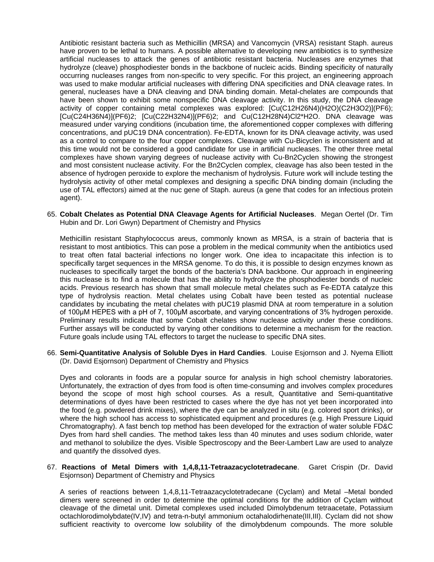Antibiotic resistant bacteria such as Methicillin (MRSA) and Vancomycin (VRSA) resistant Staph. aureus have proven to be lethal to humans. A possible alternative to developing new antibiotics is to synthesize artificial nucleases to attack the genes of antibiotic resistant bacteria. Nucleases are enzymes that hydrolyze (cleave) phosphodiester bonds in the backbone of nucleic acids. Binding specificity of naturally occurring nucleases ranges from non-specific to very specific. For this project, an engineering approach was used to make modular artificial nucleases with differing DNA specificities and DNA cleavage rates. In general, nucleases have a DNA cleaving and DNA binding domain. Metal-chelates are compounds that have been shown to exhibit some nonspecific DNA cleavage activity. In this study, the DNA cleavage activity of copper containing metal complexes was explored: [Cu(C12H26N4)(H2O)(C2H3O2)](PF6); [Cu(C24H36N4)](PF6)2; [Cu(C22H32N4)](PF6)2; and Cu(C12H28N4)Cl2\*H2O. DNA cleavage was measured under varying conditions (incubation time, the aforementioned copper complexes with differing concentrations, and pUC19 DNA concentration). Fe-EDTA, known for its DNA cleavage activity, was used as a control to compare to the four copper complexes. Cleavage with Cu-Bicyclen is inconsistent and at this time would not be considered a good candidate for use in artificial nucleases. The other three metal complexes have shown varying degrees of nuclease activity with Cu-Bn2Cyclen showing the strongest and most consistent nuclease activity. For the Bn2Cyclen complex, cleavage has also been tested in the absence of hydrogen peroxide to explore the mechanism of hydrolysis. Future work will include testing the hydrolysis activity of other metal complexes and designing a specific DNA binding domain (including the use of TAL effectors) aimed at the nuc gene of Staph. aureus (a gene that codes for an infectious protein agent).

65. **Cobalt Chelates as Potential DNA Cleavage Agents for Artificial Nucleases**. Megan Oertel (Dr. Tim Hubin and Dr. Lori Gwyn) Department of Chemistry and Physics

Methicillin resistant Staphylococcus areus, commonly known as MRSA, is a strain of bacteria that is resistant to most antibiotics. This can pose a problem in the medical community when the antibiotics used to treat often fatal bacterial infections no longer work. One idea to incapacitate this infection is to specifically target sequences in the MRSA genome. To do this, it is possible to design enzymes known as nucleases to specifically target the bonds of the bacteria's DNA backbone. Our approach in engineering this nuclease is to find a molecule that has the ability to hydrolyze the phosphodiester bonds of nucleic acids. Previous research has shown that small molecule metal chelates such as Fe-EDTA catalyze this type of hydrolysis reaction. Metal chelates using Cobalt have been tested as potential nuclease candidates by incubating the metal chelates with pUC19 plasmid DNA at room temperature in a solution of 100μM HEPES with a pH of 7, 100μM ascorbate, and varying concentrations of 3% hydrogen peroxide. Preliminary results indicate that some Cobalt chelates show nuclease activity under these conditions. Further assays will be conducted by varying other conditions to determine a mechanism for the reaction. Future goals include using TAL effectors to target the nuclease to specific DNA sites.

66. **Semi-Quantitative Analysis of Soluble Dyes in Hard Candies**. Louise Esjornson and J. Nyema Elliott (Dr. David Esjornson) Department of Chemistry and Physics

Dyes and colorants in foods are a popular source for analysis in high school chemistry laboratories. Unfortunately, the extraction of dyes from food is often time-consuming and involves complex procedures beyond the scope of most high school courses. As a result, Quantitative and Semi-quantitative determinations of dyes have been restricted to cases where the dye has not yet been incorporated into the food (e.g. powdered drink mixes), where the dye can be analyzed in situ (e.g. colored sport drinks), or where the high school has access to sophisticated equipment and procedures (e.g. High Pressure Liquid Chromatography). A fast bench top method has been developed for the extraction of water soluble FD&C Dyes from hard shell candies. The method takes less than 40 minutes and uses sodium chloride, water and methanol to solubilize the dyes. Visible Spectroscopy and the Beer-Lambert Law are used to analyze and quantify the dissolved dyes.

#### 67. **Reactions of Metal Dimers with 1,4,8,11-Tetraazacyclotetradecane**. Garet Crispin (Dr. David Esjornson) Department of Chemistry and Physics

A series of reactions between 1,4,8,11-Tetraazacyclotetradecane (Cyclam) and Metal –Metal bonded dimers were screened in order to determine the optimal conditions for the addition of Cyclam without cleavage of the dimetal unit. Dimetal complexes used included Dimolybdenum tetraacetate, Potassium octachlorodimolybdate(IV,IV) and tetra-n-butyl ammonium octahalodirhenate(III,III). Cyclam did not show sufficient reactivity to overcome low solubility of the dimolybdenum compounds. The more soluble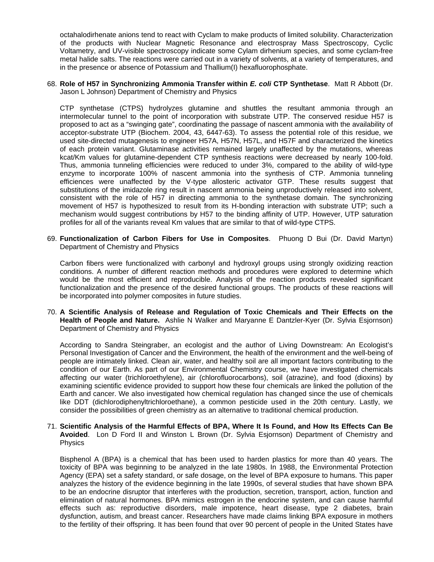octahalodirhenate anions tend to react with Cyclam to make products of limited solubility. Characterization of the products with Nuclear Magnetic Resonance and electrospray Mass Spectroscopy, Cyclic Voltametry, and UV-visible spectroscopy indicate some Cylam dirhenium species, and some cyclam-free metal halide salts. The reactions were carried out in a variety of solvents, at a variety of temperatures, and in the presence or absence of Potassium and Thallium(I) hexafluorophosphate.

68. **Role of H57 in Synchronizing Ammonia Transfer within** *E. coli* **CTP Synthetase**. Matt R Abbott (Dr. Jason L Johnson) Department of Chemistry and Physics

CTP synthetase (CTPS) hydrolyzes glutamine and shuttles the resultant ammonia through an intermolecular tunnel to the point of incorporation with substrate UTP. The conserved residue H57 is proposed to act as a "swinging gate", coordinating the passage of nascent ammonia with the availability of acceptor-substrate UTP (Biochem. 2004, 43, 6447-63). To assess the potential role of this residue, we used site-directed mutagenesis to engineer H57A, H57N, H57L, and H57F and characterized the kinetics of each protein variant. Glutaminase activities remained largely unaffected by the mutations, whereas kcat/Km values for glutamine-dependent CTP synthesis reactions were decreased by nearly 100-fold. Thus, ammonia tunneling efficiencies were reduced to under 3%, compared to the ability of wild-type enzyme to incorporate 100% of nascent ammonia into the synthesis of CTP. Ammonia tunneling efficiences were unaffected by the V-type allosteric activator GTP. These results suggest that substitutions of the imidazole ring result in nascent ammonia being unproductively released into solvent, consistent with the role of H57 in directing ammonia to the synthetase domain. The synchronizing movement of H57 is hypothesized to result from its H-bonding interaction with substrate UTP; such a mechanism would suggest contributions by H57 to the binding affinity of UTP. However, UTP saturation profiles for all of the variants reveal Km values that are similar to that of wild-type CTPS.

69. **Functionalization of Carbon Fibers for Use in Composites**. Phuong D Bui (Dr. David Martyn) Department of Chemistry and Physics

Carbon fibers were functionalized with carbonyl and hydroxyl groups using strongly oxidizing reaction conditions. A number of different reaction methods and procedures were explored to determine which would be the most efficient and reproducible. Analysis of the reaction products revealed significant functionalization and the presence of the desired functional groups. The products of these reactions will be incorporated into polymer composites in future studies.

70. **A Scientific Analysis of Release and Regulation of Toxic Chemicals and Their Effects on the Health of People and Nature.** Ashlie N Walker and Maryanne E Dantzler-Kyer (Dr. Sylvia Esjornson) Department of Chemistry and Physics

According to Sandra Steingraber, an ecologist and the author of Living Downstream: An Ecologist's Personal Investigation of Cancer and the Environment, the health of the environment and the well-being of people are intimately linked. Clean air, water, and healthy soil are all important factors contributing to the condition of our Earth. As part of our Environmental Chemistry course, we have investigated chemicals affecting our water (trichloroethylene), air (chlorofluorocarbons), soil (atrazine), and food (dioxins) by examining scientific evidence provided to support how these four chemicals are linked the pollution of the Earth and cancer. We also investigated how chemical regulation has changed since the use of chemicals like DDT (dichlorodiphenyltrichloroethane), a common pesticide used in the 20th century. Lastly, we consider the possibilities of green chemistry as an alternative to traditional chemical production.

71. **Scientific Analysis of the Harmful Effects of BPA, Where It Is Found, and How Its Effects Can Be Avoided**. Lon D Ford II and Winston L Brown (Dr. Sylvia Esjornson) Department of Chemistry and Physics

Bisphenol A (BPA) is a chemical that has been used to harden plastics for more than 40 years. The toxicity of BPA was beginning to be analyzed in the late 1980s. In 1988, the Environmental Protection Agency (EPA) set a safety standard, or safe dosage, on the level of BPA exposure to humans. This paper analyzes the history of the evidence beginning in the late 1990s, of several studies that have shown BPA to be an endocrine disruptor that interferes with the production, secretion, transport, action, function and elimination of natural hormones. BPA mimics estrogen in the endocrine system, and can cause harmful effects such as: reproductive disorders, male impotence, heart disease, type 2 diabetes, brain dysfunction, autism, and breast cancer. Researchers have made claims linking BPA exposure in mothers to the fertility of their offspring. It has been found that over 90 percent of people in the United States have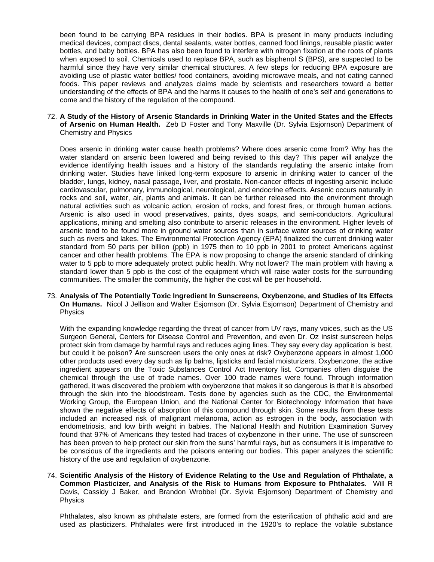been found to be carrying BPA residues in their bodies. BPA is present in many products including medical devices, compact discs, dental sealants, water bottles, canned food linings, reusable plastic water bottles, and baby bottles. BPA has also been found to interfere with nitrogen fixation at the roots of plants when exposed to soil. Chemicals used to replace BPA, such as bisphenol S (BPS), are suspected to be harmful since they have very similar chemical structures. A few steps for reducing BPA exposure are avoiding use of plastic water bottles/ food containers, avoiding microwave meals, and not eating canned foods. This paper reviews and analyzes claims made by scientists and researchers toward a better understanding of the effects of BPA and the harms it causes to the health of one's self and generations to come and the history of the regulation of the compound.

72. **A Study of the History of Arsenic Standards in Drinking Water in the United States and the Effects of Arsenic on Human Health.** Zeb D Foster and Tony Maxville (Dr. Sylvia Esjornson) Department of Chemistry and Physics

Does arsenic in drinking water cause health problems? Where does arsenic come from? Why has the water standard on arsenic been lowered and being revised to this day? This paper will analyze the evidence identifying health issues and a history of the standards regulating the arsenic intake from drinking water. Studies have linked long-term exposure to arsenic in drinking water to cancer of the bladder, lungs, kidney, nasal passage, liver, and prostate. Non-cancer effects of ingesting arsenic include cardiovascular, pulmonary, immunological, neurological, and endocrine effects. Arsenic occurs naturally in rocks and soil, water, air, plants and animals. It can be further released into the environment through natural activities such as volcanic action, erosion of rocks, and forest fires, or through human actions. Arsenic is also used in wood preservatives, paints, dyes soaps, and semi-conductors. Agricultural applications, mining and smelting also contribute to arsenic releases in the environment. Higher levels of arsenic tend to be found more in ground water sources than in surface water sources of drinking water such as rivers and lakes. The Environmental Protection Agency (EPA) finalized the current drinking water standard from 50 parts per billion (ppb) in 1975 then to 10 ppb in 2001 to protect Americans against cancer and other health problems. The EPA is now proposing to change the arsenic standard of drinking water to 5 ppb to more adequately protect public health. Why not lower? The main problem with having a standard lower than 5 ppb is the cost of the equipment which will raise water costs for the surrounding communities. The smaller the community, the higher the cost will be per household.

73. **Analysis of The Potentially Toxic Ingredient In Sunscreens, Oxybenzone, and Studies of Its Effects On Humans.** Nicol J Jellison and Walter Esjornson (Dr. Sylvia Esjornson) Department of Chemistry and Physics

With the expanding knowledge regarding the threat of cancer from UV rays, many voices, such as the US Surgeon General, Centers for Disease Control and Prevention, and even Dr. Oz insist sunscreen helps protect skin from damage by harmful rays and reduces aging lines. They say every day application is best, but could it be poison? Are sunscreen users the only ones at risk? Oxybenzone appears in almost 1,000 other products used every day such as lip balms, lipsticks and facial moisturizers. Oxybenzone, the active ingredient appears on the Toxic Substances Control Act Inventory list. Companies often disguise the chemical through the use of trade names. Over 100 trade names were found. Through information gathered, it was discovered the problem with oxybenzone that makes it so dangerous is that it is absorbed through the skin into the bloodstream. Tests done by agencies such as the CDC, the Environmental Working Group, the European Union, and the National Center for Biotechnology Information that have shown the negative effects of absorption of this compound through skin. Some results from these tests included an increased risk of malignant melanoma, action as estrogen in the body, association with endometriosis, and low birth weight in babies. The National Health and Nutrition Examination Survey found that 97% of Americans they tested had traces of oxybenzone in their urine. The use of sunscreen has been proven to help protect our skin from the suns' harmful rays, but as consumers it is imperative to be conscious of the ingredients and the poisons entering our bodies. This paper analyzes the scientific history of the use and regulation of oxybenzone.

74. **Scientific Analysis of the History of Evidence Relating to the Use and Regulation of Phthalate, a Common Plasticizer, and Analysis of the Risk to Humans from Exposure to Phthalates.** Will R Davis, Cassidy J Baker, and Brandon Wrobbel (Dr. Sylvia Esjornson) Department of Chemistry and Physics

Phthalates, also known as phthalate esters, are formed from the esterification of phthalic acid and are used as plasticizers. Phthalates were first introduced in the 1920's to replace the volatile substance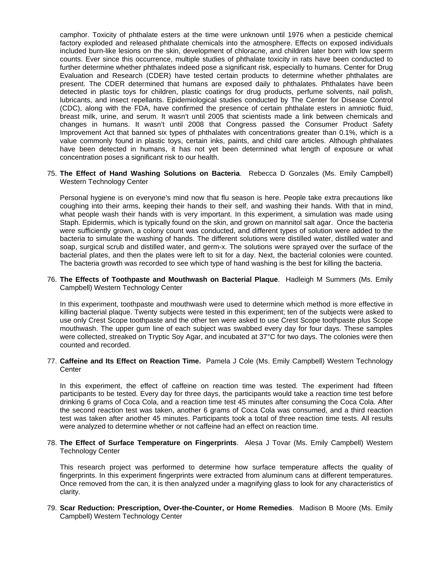camphor. Toxicity of phthalate esters at the time were unknown until 1976 when a pesticide chemical factory exploded and released phthalate chemicals into the atmosphere. Effects on exposed individuals included burn-like lesions on the skin, development of chloracne, and children later born with low sperm counts. Ever since this occurrence, multiple studies of phthalate toxicity in rats have been conducted to further determine whether phthalates indeed pose a significant risk, especially to humans. Center for Drug Evaluation and Research (CDER) have tested certain products to determine whether phthalates are present. The CDER determined that humans are exposed daily to phthalates. Phthalates have been detected in plastic toys for children, plastic coatings for drug products, perfume solvents, nail polish, lubricants, and insect repellants. Epidemiological studies conducted by The Center for Disease Control (CDC), along with the FDA, have confirmed the presence of certain phthalate esters in amniotic fluid, breast milk, urine, and serum. It wasn't until 2005 that scientists made a link between chemicals and changes in humans. It wasn't until 2008 that Congress passed the Consumer Product Safety Improvement Act that banned six types of phthalates with concentrations greater than 0.1%, which is a value commonly found in plastic toys, certain inks, paints, and child care articles. Although phthalates have been detected in humans, it has not yet been determined what length of exposure or what concentration poses a significant risk to our health.

75. **The Effect of Hand Washing Solutions on Bacteria**. Rebecca D Gonzales (Ms. Emily Campbell) Western Technology Center

Personal hygiene is on everyone's mind now that flu season is here. People take extra precautions like coughing into their arms, keeping their hands to their self, and washing their hands. With that in mind, what people wash their hands with is very important. In this experiment, a simulation was made using Staph. Epidermis, which is typically found on the skin, and grown on mannitol salt agar. Once the bacteria were sufficiently grown, a colony count was conducted, and different types of solution were added to the bacteria to simulate the washing of hands. The different solutions were distilled water, distilled water and soap, surgical scrub and distilled water, and germ-x. The solutions were sprayed over the surface of the bacterial plates, and then the plates were left to sit for a day. Next, the bacterial colonies were counted. The bacteria growth was recorded to see which type of hand washing is the best for killing the bacteria.

76. **The Effects of Toothpaste and Mouthwash on Bacterial Plaque**. Hadleigh M Summers (Ms. Emily Campbell) Western Technology Center

In this experiment, toothpaste and mouthwash were used to determine which method is more effective in killing bacterial plaque. Twenty subjects were tested in this experiment; ten of the subjects were asked to use only Crest Scope toothpaste and the other ten were asked to use Crest Scope toothpaste plus Scope mouthwash. The upper gum line of each subject was swabbed every day for four days. These samples were collected, streaked on Tryptic Soy Agar, and incubated at 37°C for two days. The colonies were then counted and recorded.

77. **Caffeine and Its Effect on Reaction Time.** Pamela J Cole (Ms. Emily Campbell) Western Technology **Center** 

In this experiment, the effect of caffeine on reaction time was tested. The experiment had fifteen participants to be tested. Every day for three days, the participants would take a reaction time test before drinking 6 grams of Coca Cola, and a reaction time test 45 minutes after consuming the Coca Cola. After the second reaction test was taken, another 6 grams of Coca Cola was consumed, and a third reaction test was taken after another 45 minutes. Participants took a total of three reaction time tests. All results were analyzed to determine whether or not caffeine had an effect on reaction time.

78. **The Effect of Surface Temperature on Fingerprints**. Alesa J Tovar (Ms. Emily Campbell) Western Technology Center

This research project was performed to determine how surface temperature affects the quality of fingerprints. In this experiment fingerprints were extracted from aluminum cans at different temperatures. Once removed from the can, it is then analyzed under a magnifying glass to look for any characteristics of clarity.

79. **Scar Reduction: Prescription, Over-the-Counter, or Home Remedies**. Madison B Moore (Ms. Emily Campbell) Western Technology Center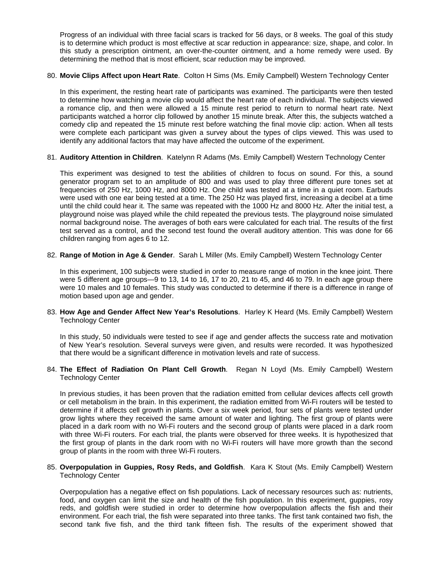Progress of an individual with three facial scars is tracked for 56 days, or 8 weeks. The goal of this study is to determine which product is most effective at scar reduction in appearance: size, shape, and color. In this study a prescription ointment, an over-the-counter ointment, and a home remedy were used. By determining the method that is most efficient, scar reduction may be improved.

#### 80. **Movie Clips Affect upon Heart Rate**. Colton H Sims (Ms. Emily Campbell) Western Technology Center

In this experiment, the resting heart rate of participants was examined. The participants were then tested to determine how watching a movie clip would affect the heart rate of each individual. The subjects viewed a romance clip, and then were allowed a 15 minute rest period to return to normal heart rate. Next participants watched a horror clip followed by another 15 minute break. After this, the subjects watched a comedy clip and repeated the 15 minute rest before watching the final movie clip: action. When all tests were complete each participant was given a survey about the types of clips viewed. This was used to identify any additional factors that may have affected the outcome of the experiment.

#### 81. **Auditory Attention in Children**. Katelynn R Adams (Ms. Emily Campbell) Western Technology Center

This experiment was designed to test the abilities of children to focus on sound. For this, a sound generator program set to an amplitude of 800 and was used to play three different pure tones set at frequencies of 250 Hz, 1000 Hz, and 8000 Hz. One child was tested at a time in a quiet room. Earbuds were used with one ear being tested at a time. The 250 Hz was played first, increasing a decibel at a time until the child could hear it. The same was repeated with the 1000 Hz and 8000 Hz. After the initial test, a playground noise was played while the child repeated the previous tests. The playground noise simulated normal background noise. The averages of both ears were calculated for each trial. The results of the first test served as a control, and the second test found the overall auditory attention. This was done for 66 children ranging from ages 6 to 12.

#### 82. **Range of Motion in Age & Gender**. Sarah L Miller (Ms. Emily Campbell) Western Technology Center

In this experiment, 100 subjects were studied in order to measure range of motion in the knee joint. There were 5 different age groups—9 to 13, 14 to 16, 17 to 20, 21 to 45, and 46 to 79. In each age group there were 10 males and 10 females. This study was conducted to determine if there is a difference in range of motion based upon age and gender.

#### 83. **How Age and Gender Affect New Year's Resolutions**. Harley K Heard (Ms. Emily Campbell) Western Technology Center

In this study, 50 individuals were tested to see if age and gender affects the success rate and motivation of New Year's resolution. Several surveys were given, and results were recorded. It was hypothesized that there would be a significant difference in motivation levels and rate of success.

#### 84. **The Effect of Radiation On Plant Cell Growth**. Regan N Loyd (Ms. Emily Campbell) Western Technology Center

In previous studies, it has been proven that the radiation emitted from cellular devices affects cell growth or cell metabolism in the brain. In this experiment, the radiation emitted from Wi-Fi routers will be tested to determine if it affects cell growth in plants. Over a six week period, four sets of plants were tested under grow lights where they received the same amount of water and lighting. The first group of plants were placed in a dark room with no Wi-Fi routers and the second group of plants were placed in a dark room with three Wi-Fi routers. For each trial, the plants were observed for three weeks. It is hypothesized that the first group of plants in the dark room with no Wi-Fi routers will have more growth than the second group of plants in the room with three Wi-Fi routers.

#### 85. **Overpopulation in Guppies, Rosy Reds, and Goldfish**. Kara K Stout (Ms. Emily Campbell) Western Technology Center

Overpopulation has a negative effect on fish populations. Lack of necessary resources such as: nutrients, food, and oxygen can limit the size and health of the fish population. In this experiment, guppies, rosy reds, and goldfish were studied in order to determine how overpopulation affects the fish and their environment. For each trial, the fish were separated into three tanks. The first tank contained two fish, the second tank five fish, and the third tank fifteen fish. The results of the experiment showed that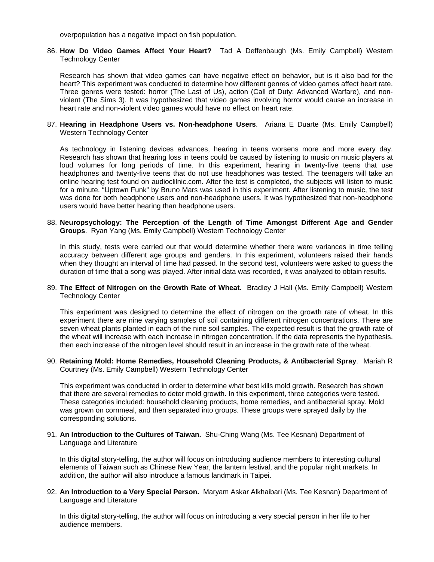overpopulation has a negative impact on fish population.

#### 86. **How Do Video Games Affect Your Heart?** Tad A Deffenbaugh (Ms. Emily Campbell) Western Technology Center

Research has shown that video games can have negative effect on behavior, but is it also bad for the heart? This experiment was conducted to determine how different genres of video games affect heart rate. Three genres were tested: horror (The Last of Us), action (Call of Duty: Advanced Warfare), and nonviolent (The Sims 3). It was hypothesized that video games involving horror would cause an increase in heart rate and non-violent video games would have no effect on heart rate.

#### 87. **Hearing in Headphone Users vs. Non-headphone Users**. Ariana E Duarte (Ms. Emily Campbell) Western Technology Center

As technology in listening devices advances, hearing in teens worsens more and more every day. Research has shown that hearing loss in teens could be caused by listening to music on music players at loud volumes for long periods of time. In this experiment, hearing in twenty-five teens that use headphones and twenty-five teens that do not use headphones was tested. The teenagers will take an online hearing test found on audioclilnic.com. After the test is completed, the subjects will listen to music for a minute. "Uptown Funk" by Bruno Mars was used in this experiment. After listening to music, the test was done for both headphone users and non-headphone users. It was hypothesized that non-headphone users would have better hearing than headphone users.

#### 88. **Neuropsychology: The Perception of the Length of Time Amongst Different Age and Gender Groups**. Ryan Yang (Ms. Emily Campbell) Western Technology Center

In this study, tests were carried out that would determine whether there were variances in time telling accuracy between different age groups and genders. In this experiment, volunteers raised their hands when they thought an interval of time had passed. In the second test, volunteers were asked to guess the duration of time that a song was played. After initial data was recorded, it was analyzed to obtain results.

89. **The Effect of Nitrogen on the Growth Rate of Wheat.** Bradley J Hall (Ms. Emily Campbell) Western Technology Center

This experiment was designed to determine the effect of nitrogen on the growth rate of wheat. In this experiment there are nine varying samples of soil containing different nitrogen concentrations. There are seven wheat plants planted in each of the nine soil samples. The expected result is that the growth rate of the wheat will increase with each increase in nitrogen concentration. If the data represents the hypothesis, then each increase of the nitrogen level should result in an increase in the growth rate of the wheat.

#### 90. **Retaining Mold: Home Remedies, Household Cleaning Products, & Antibacterial Spray**. Mariah R Courtney (Ms. Emily Campbell) Western Technology Center

This experiment was conducted in order to determine what best kills mold growth. Research has shown that there are several remedies to deter mold growth. In this experiment, three categories were tested. These categories included: household cleaning products, home remedies, and antibacterial spray. Mold was grown on cornmeal, and then separated into groups. These groups were sprayed daily by the corresponding solutions.

#### 91. **An Introduction to the Cultures of Taiwan.** Shu-Ching Wang (Ms. Tee Kesnan) Department of Language and Literature

In this digital story-telling, the author will focus on introducing audience members to interesting cultural elements of Taiwan such as Chinese New Year, the lantern festival, and the popular night markets. In addition, the author will also introduce a famous landmark in Taipei.

92. **An Introduction to a Very Special Person.** Maryam Askar Alkhaibari (Ms. Tee Kesnan) Department of Language and Literature

In this digital story-telling, the author will focus on introducing a very special person in her life to her audience members.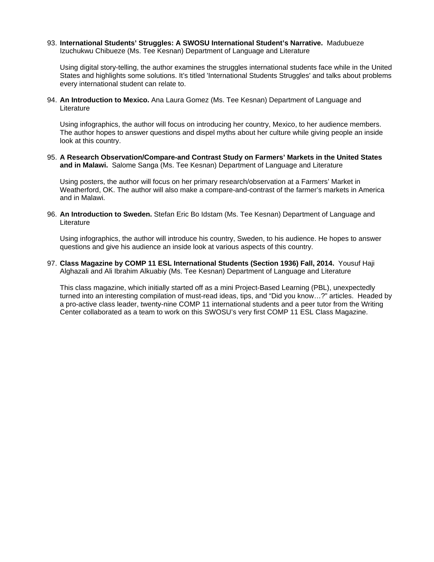93. **International Students' Struggles: A SWOSU International Student's Narrative.** Madubueze Izuchukwu Chibueze (Ms. Tee Kesnan) Department of Language and Literature

Using digital story-telling, the author examines the struggles international students face while in the United States and highlights some solutions. It's titled 'International Students Struggles' and talks about problems every international student can relate to.

94. **An Introduction to Mexico.** Ana Laura Gomez (Ms. Tee Kesnan) Department of Language and Literature

Using infographics, the author will focus on introducing her country, Mexico, to her audience members. The author hopes to answer questions and dispel myths about her culture while giving people an inside look at this country.

95. **A Research Observation/Compare-and Contrast Study on Farmers' Markets in the United States and in Malawi.** Salome Sanga (Ms. Tee Kesnan) Department of Language and Literature

Using posters, the author will focus on her primary research/observation at a Farmers' Market in Weatherford, OK. The author will also make a compare-and-contrast of the farmer's markets in America and in Malawi.

96. **An Introduction to Sweden.** Stefan Eric Bo Idstam (Ms. Tee Kesnan) Department of Language and Literature

Using infographics, the author will introduce his country, Sweden, to his audience. He hopes to answer questions and give his audience an inside look at various aspects of this country.

97. **Class Magazine by COMP 11 ESL International Students (Section 1936) Fall, 2014.** Yousuf Haji Alghazali and Ali Ibrahim Alkuabiy (Ms. Tee Kesnan) Department of Language and Literature

This class magazine, which initially started off as a mini Project-Based Learning (PBL), unexpectedly turned into an interesting compilation of must-read ideas, tips, and "Did you know…?" articles. Headed by a pro-active class leader, twenty-nine COMP 11 international students and a peer tutor from the Writing Center collaborated as a team to work on this SWOSU's very first COMP 11 ESL Class Magazine.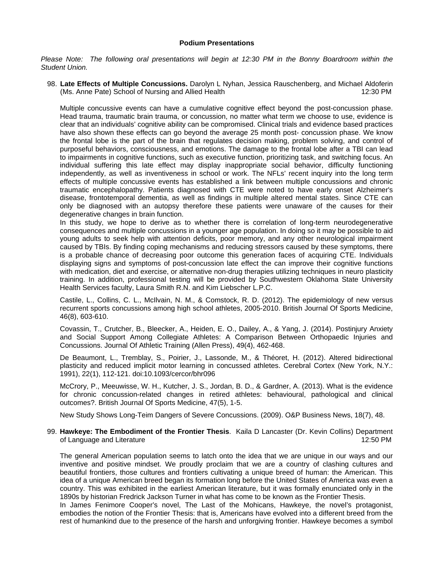#### **Podium Presentations**

*Please Note: The following oral presentations will begin at 12:30 PM in the Bonny Boardroom within the Student Union.*

98. **Late Effects of Multiple Concussions.** Darolyn L Nyhan, Jessica Rauschenberg, and Michael Aldoferin (Ms. Anne Pate) School of Nursing and Allied Health 12:30 PM

Multiple concussive events can have a cumulative cognitive effect beyond the post-concussion phase. Head trauma, traumatic brain trauma, or concussion, no matter what term we choose to use, evidence is clear that an individuals' cognitive ability can be compromised. Clinical trials and evidence based practices have also shown these effects can go beyond the average 25 month post- concussion phase. We know the frontal lobe is the part of the brain that regulates decision making, problem solving, and control of purposeful behaviors, consciousness, and emotions. The damage to the frontal lobe after a TBI can lead to impairments in cognitive functions, such as executive function, prioritizing task, and switching focus. An individual suffering this late effect may display inappropriate social behavior, difficulty functioning independently, as well as inventiveness in school or work. The NFLs' recent inquiry into the long term effects of multiple concussive events has established a link between multiple concussions and chronic traumatic encephalopathy. Patients diagnosed with CTE were noted to have early onset Alzheimer's disease, frontotemporal dementia, as well as findings in multiple altered mental states. Since CTE can only be diagnosed with an autopsy therefore these patients were unaware of the causes for their degenerative changes in brain function.

In this study, we hope to derive as to whether there is correlation of long-term neurodegenerative consequences and multiple concussions in a younger age population. In doing so it may be possible to aid young adults to seek help with attention deficits, poor memory, and any other neurological impairment caused by TBIs. By finding coping mechanisms and reducing stressors caused by these symptoms, there is a probable chance of decreasing poor outcome this generation faces of acquiring CTE. Individuals displaying signs and symptoms of post-concussion late effect the can improve their cognitive functions with medication, diet and exercise, or alternative non-drug therapies utilizing techniques in neuro plasticity training. In addition, professional testing will be provided by Southwestern Oklahoma State University Health Services faculty, Laura Smith R.N. and Kim Liebscher L.P.C.

Castile, L., Collins, C. L., McIlvain, N. M., & Comstock, R. D. (2012). The epidemiology of new versus recurrent sports concussions among high school athletes, 2005-2010. British Journal Of Sports Medicine, 46(8), 603-610.

Covassin, T., Crutcher, B., Bleecker, A., Heiden, E. O., Dailey, A., & Yang, J. (2014). Postinjury Anxiety and Social Support Among Collegiate Athletes: A Comparison Between Orthopaedic Injuries and Concussions. Journal Of Athletic Training (Allen Press), 49(4), 462-468.

De Beaumont, L., Tremblay, S., Poirier, J., Lassonde, M., & Théoret, H. (2012). Altered bidirectional plasticity and reduced implicit motor learning in concussed athletes. Cerebral Cortex (New York, N.Y.: 1991), 22(1), 112-121. doi:10.1093/cercor/bhr096

McCrory, P., Meeuwisse, W. H., Kutcher, J. S., Jordan, B. D., & Gardner, A. (2013). What is the evidence for chronic concussion-related changes in retired athletes: behavioural, pathological and clinical outcomes?. British Journal Of Sports Medicine, 47(5), 1-5.

New Study Shows Long-Teim Dangers of Severe Concussions. (2009). O&P Business News, 18(7), 48.

99. **Hawkeye: The Embodiment of the Frontier Thesis**. Kaila D Lancaster (Dr. Kevin Collins) Department of Language and Literature 12:50 PM

The general American population seems to latch onto the idea that we are unique in our ways and our inventive and positive mindset. We proudly proclaim that we are a country of clashing cultures and beautiful frontiers, those cultures and frontiers cultivating a unique breed of human: the American. This idea of a unique American breed began its formation long before the United States of America was even a country. This was exhibited in the earliest American literature, but it was formally enunciated only in the 1890s by historian Fredrick Jackson Turner in what has come to be known as the Frontier Thesis.

In James Fenimore Cooper's novel, The Last of the Mohicans, Hawkeye, the novel's protagonist, embodies the notion of the Frontier Thesis: that is, Americans have evolved into a different breed from the rest of humankind due to the presence of the harsh and unforgiving frontier. Hawkeye becomes a symbol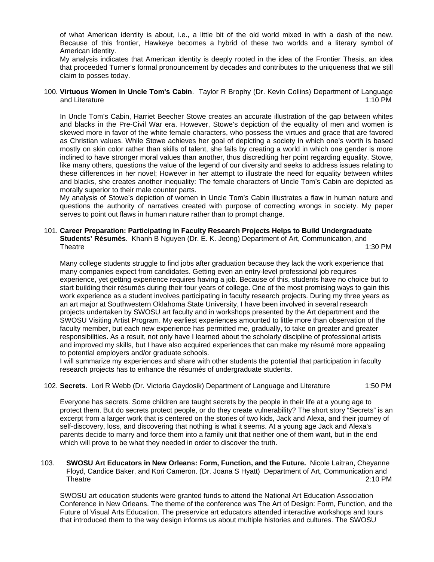of what American identity is about, i.e., a little bit of the old world mixed in with a dash of the new. Because of this frontier, Hawkeye becomes a hybrid of these two worlds and a literary symbol of American identity.

My analysis indicates that American identity is deeply rooted in the idea of the Frontier Thesis, an idea that proceeded Turner's formal pronouncement by decades and contributes to the uniqueness that we still claim to posses today.

100. **Virtuous Women in Uncle Tom's Cabin**. Taylor R Brophy (Dr. Kevin Collins) Department of Language and Literature 1:10 PM

In Uncle Tom's Cabin, Harriet Beecher Stowe creates an accurate illustration of the gap between whites and blacks in the Pre-Civil War era. However, Stowe's depiction of the equality of men and women is skewed more in favor of the white female characters, who possess the virtues and grace that are favored as Christian values. While Stowe achieves her goal of depicting a society in which one's worth is based mostly on skin color rather than skills of talent, she fails by creating a world in which one gender is more inclined to have stronger moral values than another, thus discrediting her point regarding equality. Stowe, like many others, questions the value of the legend of our diversity and seeks to address issues relating to these differences in her novel; However in her attempt to illustrate the need for equality between whites and blacks, she creates another inequality: The female characters of Uncle Tom's Cabin are depicted as morally superior to their male counter parts.

My analysis of Stowe's depiction of women in Uncle Tom's Cabin illustrates a flaw in human nature and questions the authority of narratives created with purpose of correcting wrongs in society. My paper serves to point out flaws in human nature rather than to prompt change.

#### 101. **Career Preparation: Participating in Faculty Research Projects Helps to Build Undergraduate Students' Résumés**. Khanh B Nguyen (Dr. E. K. Jeong) Department of Art, Communication, and Theatre 1:30 PM

Many college students struggle to find jobs after graduation because they lack the work experience that many companies expect from candidates. Getting even an entry-level professional job requires experience, yet getting experience requires having a job. Because of this, students have no choice but to start building their résumés during their four years of college. One of the most promising ways to gain this work experience as a student involves participating in faculty research projects. During my three years as an art major at Southwestern Oklahoma State University, I have been involved in several research projects undertaken by SWOSU art faculty and in workshops presented by the Art department and the SWOSU Visiting Artist Program. My earliest experiences amounted to little more than observation of the faculty member, but each new experience has permitted me, gradually, to take on greater and greater responsibilities. As a result, not only have I learned about the scholarly discipline of professional artists and improved my skills, but I have also acquired experiences that can make my résumé more appealing to potential employers and/or graduate schools.

I will summarize my experiences and share with other students the potential that participation in faculty research projects has to enhance the résumés of undergraduate students.

#### 102. **Secrets**. Lori R Webb (Dr. Victoria Gaydosik) Department of Language and Literature 1:50 PM

Everyone has secrets. Some children are taught secrets by the people in their life at a young age to protect them. But do secrets protect people, or do they create vulnerability? The short story "Secrets" is an excerpt from a larger work that is centered on the stories of two kids, Jack and Alexa, and their journey of self-discovery, loss, and discovering that nothing is what it seems. At a young age Jack and Alexa's parents decide to marry and force them into a family unit that neither one of them want, but in the end which will prove to be what they needed in order to discover the truth.

103. **SWOSU Art Educators in New Orleans: Form, Function, and the Future.** Nicole Laitran, Cheyanne Floyd, Candice Baker, and Kori Cameron. (Dr. Joana S Hyatt) Department of Art, Communication and Theatre 2:10 PM

SWOSU art education students were granted funds to attend the National Art Education Association Conference in New Orleans. The theme of the conference was The Art of Design: Form, Function, and the Future of Visual Arts Education. The preservice art educators attended interactive workshops and tours that introduced them to the way design informs us about multiple histories and cultures. The SWOSU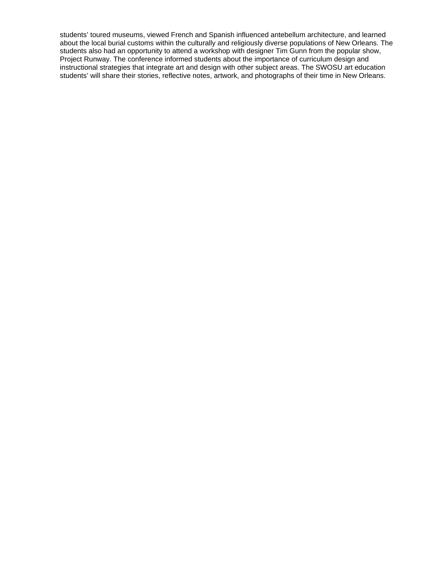students' toured museums, viewed French and Spanish influenced antebellum architecture, and learned about the local burial customs within the culturally and religiously diverse populations of New Orleans. The students also had an opportunity to attend a workshop with designer Tim Gunn from the popular show, Project Runway. The conference informed students about the importance of curriculum design and instructional strategies that integrate art and design with other subject areas. The SWOSU art education students' will share their stories, reflective notes, artwork, and photographs of their time in New Orleans.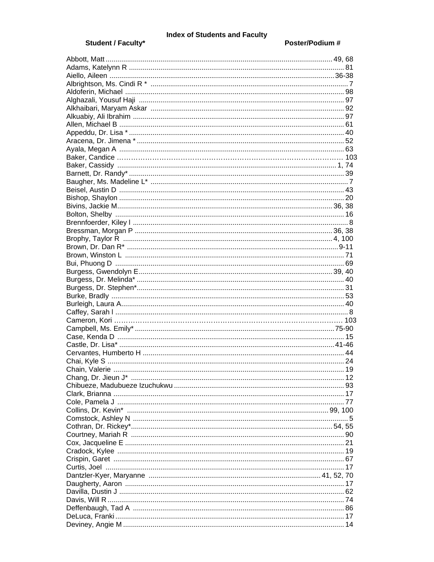# **Index of Students and Faculty**

### Student / Faculty\*

#### Poster/Podium #

|  | 17 |
|--|----|
|  |    |
|  |    |
|  |    |
|  |    |
|  |    |
|  |    |
|  |    |